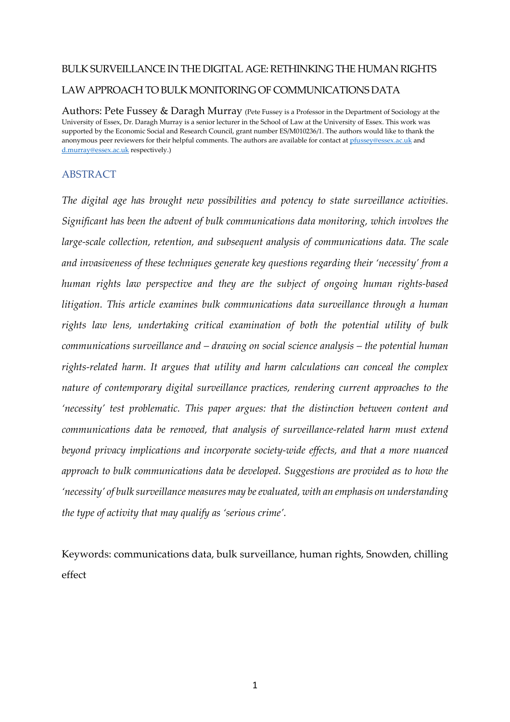# BULK SURVEILLANCE IN THE DIGITAL AGE: RETHINKING THE HUMAN RIGHTS LAW APPROACH TO BULK MONITORING OF COMMUNICATIONS DATA

Authors: Pete Fussey & Daragh Murray (Pete Fussey is a Professor in the Department of Sociology at the University of Essex, Dr. Daragh Murray is a senior lecturer in the School of Law at the University of Essex. This work was supported by the Economic Social and Research Council, grant number ES/M010236/1. The authors would like to thank the anonymous peer reviewers for their helpful comments. The authors are available for contact at pfussey@essex.ac.uk and d.murray@essex.ac.uk respectively.)

## ABSTRACT

*The digital age has brought new possibilities and potency to state surveillance activities. Significant has been the advent of bulk communications data monitoring, which involves the large-scale collection, retention, and subsequent analysis of communications data. The scale and invasiveness of these techniques generate key questions regarding their 'necessity' from a human rights law perspective and they are the subject of ongoing human rights-based litigation. This article examines bulk communications data surveillance through a human rights law lens, undertaking critical examination of both the potential utility of bulk communications surveillance and – drawing on social science analysis – the potential human rights-related harm. It argues that utility and harm calculations can conceal the complex nature of contemporary digital surveillance practices, rendering current approaches to the 'necessity' test problematic. This paper argues: that the distinction between content and communications data be removed, that analysis of surveillance-related harm must extend beyond privacy implications and incorporate society-wide effects, and that a more nuanced approach to bulk communications data be developed. Suggestions are provided as to how the 'necessity' of bulk surveillance measures may be evaluated, with an emphasis on understanding the type of activity that may qualify as 'serious crime'.* 

Keywords: communications data, bulk surveillance, human rights, Snowden, chilling effect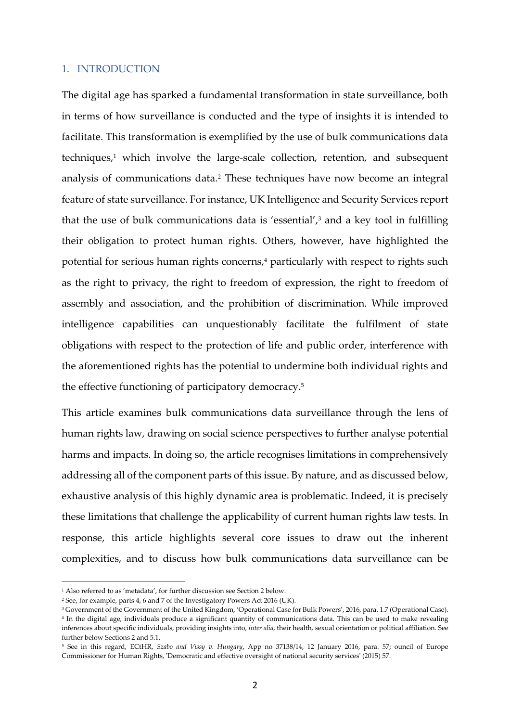#### 1. INTRODUCTION

The digital age has sparked a fundamental transformation in state surveillance, both in terms of how surveillance is conducted and the type of insights it is intended to facilitate. This transformation is exemplified by the use of bulk communications data techniques,<sup>1</sup> which involve the large-scale collection, retention, and subsequent analysis of communications data.<sup>2</sup> These techniques have now become an integral feature of state surveillance. For instance, UK Intelligence and Security Services report that the use of bulk communications data is 'essential', $3$  and a key tool in fulfilling their obligation to protect human rights. Others, however, have highlighted the potential for serious human rights concerns,<sup>4</sup> particularly with respect to rights such as the right to privacy, the right to freedom of expression, the right to freedom of assembly and association, and the prohibition of discrimination. While improved intelligence capabilities can unquestionably facilitate the fulfilment of state obligations with respect to the protection of life and public order, interference with the aforementioned rights has the potential to undermine both individual rights and the effective functioning of participatory democracy.<sup>5</sup>

This article examines bulk communications data surveillance through the lens of human rights law, drawing on social science perspectives to further analyse potential harms and impacts. In doing so, the article recognises limitations in comprehensively addressing all of the component parts of this issue. By nature, and as discussed below, exhaustive analysis of this highly dynamic area is problematic. Indeed, it is precisely these limitations that challenge the applicability of current human rights law tests. In response, this article highlights several core issues to draw out the inherent complexities, and to discuss how bulk communications data surveillance can be

<sup>1</sup> Also referred to as 'metadata', for further discussion see Section 2 below.

<sup>2</sup> See, for example, parts 4, 6 and 7 of the Investigatory Powers Act 2016 (UK).

<sup>3</sup> Government of the Government of the United Kingdom, 'Operational Case for Bulk Powers', 2016, para. 1.7 (Operational Case).

<sup>4</sup> In the digital age, individuals produce a significant quantity of communications data. This can be used to make revealing inferences about specific individuals, providing insights into, *inter alia*, their health, sexual orientation or political affiliation. See further below Sections 2 and 5.1.

<sup>5</sup> See in this regard, ECtHR, *Szabo and Vissy v. Hungary*, App no 37138/14, 12 January 2016, para. 57; ouncil of Europe Commissioner for Human Rights, 'Democratic and effective oversight of national security services' (2015) 57.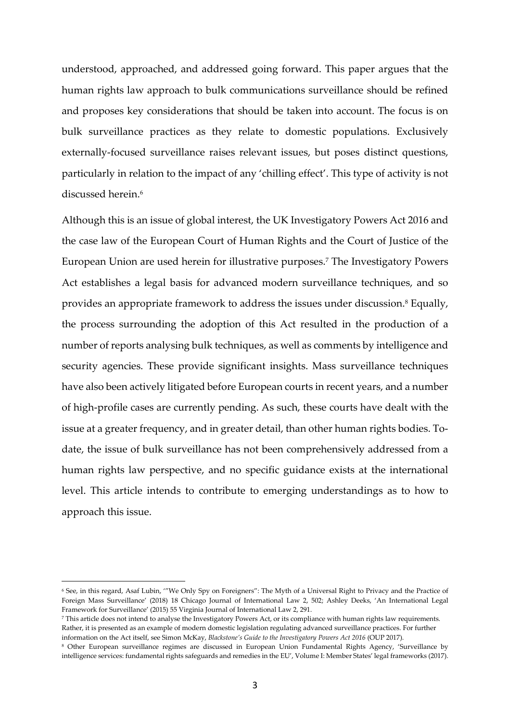understood, approached, and addressed going forward. This paper argues that the human rights law approach to bulk communications surveillance should be refined and proposes key considerations that should be taken into account. The focus is on bulk surveillance practices as they relate to domestic populations. Exclusively externally-focused surveillance raises relevant issues, but poses distinct questions, particularly in relation to the impact of any 'chilling effect'. This type of activity is not discussed herein.<sup>6</sup>

Although this is an issue of global interest, the UK Investigatory Powers Act 2016 and the case law of the European Court of Human Rights and the Court of Justice of the European Union are used herein for illustrative purposes.<sup>7</sup> The Investigatory Powers Act establishes a legal basis for advanced modern surveillance techniques, and so provides an appropriate framework to address the issues under discussion.<sup>8</sup> Equally, the process surrounding the adoption of this Act resulted in the production of a number of reports analysing bulk techniques, as well as comments by intelligence and security agencies. These provide significant insights. Mass surveillance techniques have also been actively litigated before European courts in recent years, and a number of high-profile cases are currently pending. As such, these courts have dealt with the issue at a greater frequency, and in greater detail, than other human rights bodies. Todate, the issue of bulk surveillance has not been comprehensively addressed from a human rights law perspective, and no specific guidance exists at the international level. This article intends to contribute to emerging understandings as to how to approach this issue.

<sup>6</sup> See, in this regard, Asaf Lubin, '"We Only Spy on Foreigners": The Myth of a Universal Right to Privacy and the Practice of Foreign Mass Surveillance' (2018) 18 Chicago Journal of International Law 2, 502; Ashley Deeks, 'An International Legal Framework for Surveillance' (2015) 55 Virginia Journal of International Law 2, 291.

<sup>7</sup> This article does not intend to analyse the Investigatory Powers Act, or its compliance with human rights law requirements. Rather, it is presented as an example of modern domestic legislation regulating advanced surveillance practices. For further information on the Act itself, see Simon McKay, *Blackstone's Guide to the Investigatory Powers Act 2016* (OUP 2017).

<sup>8</sup> Other European surveillance regimes are discussed in European Union Fundamental Rights Agency, 'Surveillance by intelligence services: fundamental rights safeguards and remedies in the EU', Volume I: Member States' legal frameworks (2017).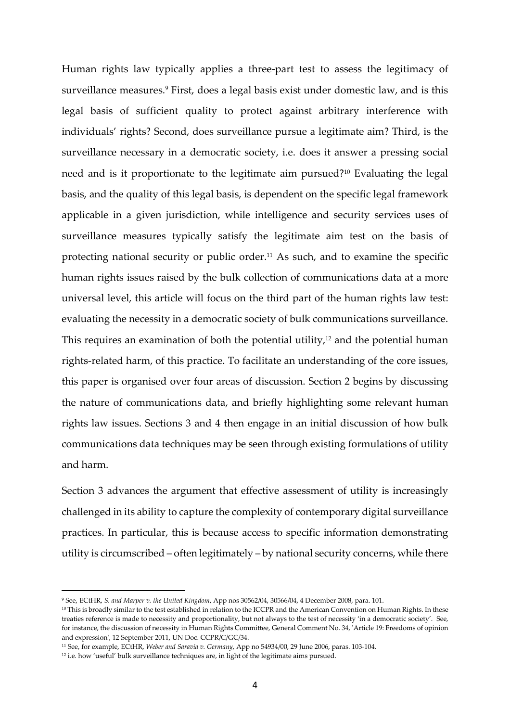Human rights law typically applies a three-part test to assess the legitimacy of surveillance measures.<sup>9</sup> First, does a legal basis exist under domestic law, and is this legal basis of sufficient quality to protect against arbitrary interference with individuals' rights? Second, does surveillance pursue a legitimate aim? Third, is the surveillance necessary in a democratic society, i.e. does it answer a pressing social need and is it proportionate to the legitimate aim pursued?10 Evaluating the legal basis, and the quality of this legal basis, is dependent on the specific legal framework applicable in a given jurisdiction, while intelligence and security services uses of surveillance measures typically satisfy the legitimate aim test on the basis of protecting national security or public order.<sup>11</sup> As such, and to examine the specific human rights issues raised by the bulk collection of communications data at a more universal level, this article will focus on the third part of the human rights law test: evaluating the necessity in a democratic society of bulk communications surveillance. This requires an examination of both the potential utility, $12$  and the potential human rights-related harm, of this practice. To facilitate an understanding of the core issues, this paper is organised over four areas of discussion. Section 2 begins by discussing the nature of communications data, and briefly highlighting some relevant human rights law issues. Sections 3 and 4 then engage in an initial discussion of how bulk communications data techniques may be seen through existing formulations of utility and harm.

Section 3 advances the argument that effective assessment of utility is increasingly challenged in its ability to capture the complexity of contemporary digital surveillance practices. In particular, this is because access to specific information demonstrating utility is circumscribed – often legitimately – by national security concerns, while there

<sup>9</sup> See, ECtHR, *S. and Marper v. the United Kingdom*, App nos 30562/04, 30566/04, 4 December 2008, para. 101.

<sup>&</sup>lt;sup>10</sup> This is broadly similar to the test established in relation to the ICCPR and the American Convention on Human Rights. In these treaties reference is made to necessity and proportionality, but not always to the test of necessity 'in a democratic society'. See, for instance, the discussion of necessity in Human Rights Committee, General Comment No. 34, 'Article 19: Freedoms of opinion and expression', 12 September 2011, UN Doc. CCPR/C/GC/34.

<sup>11</sup> See, for example, ECtHR, *Weber and Saravia v. Germany*, App no 54934/00, 29 June 2006, paras. 103-104.

<sup>&</sup>lt;sup>12</sup> i.e. how 'useful' bulk surveillance techniques are, in light of the legitimate aims pursued.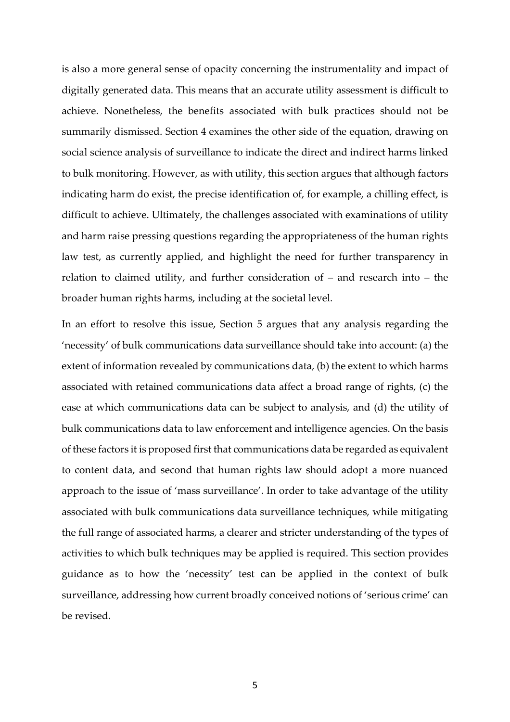is also a more general sense of opacity concerning the instrumentality and impact of digitally generated data. This means that an accurate utility assessment is difficult to achieve. Nonetheless, the benefits associated with bulk practices should not be summarily dismissed. Section 4 examines the other side of the equation, drawing on social science analysis of surveillance to indicate the direct and indirect harms linked to bulk monitoring. However, as with utility, this section argues that although factors indicating harm do exist, the precise identification of, for example, a chilling effect, is difficult to achieve. Ultimately, the challenges associated with examinations of utility and harm raise pressing questions regarding the appropriateness of the human rights law test, as currently applied, and highlight the need for further transparency in relation to claimed utility, and further consideration of – and research into – the broader human rights harms, including at the societal level.

In an effort to resolve this issue, Section 5 argues that any analysis regarding the 'necessity' of bulk communications data surveillance should take into account: (a) the extent of information revealed by communications data, (b) the extent to which harms associated with retained communications data affect a broad range of rights, (c) the ease at which communications data can be subject to analysis, and (d) the utility of bulk communications data to law enforcement and intelligence agencies. On the basis of these factors it is proposed first that communications data be regarded as equivalent to content data, and second that human rights law should adopt a more nuanced approach to the issue of 'mass surveillance'. In order to take advantage of the utility associated with bulk communications data surveillance techniques, while mitigating the full range of associated harms, a clearer and stricter understanding of the types of activities to which bulk techniques may be applied is required. This section provides guidance as to how the 'necessity' test can be applied in the context of bulk surveillance, addressing how current broadly conceived notions of 'serious crime' can be revised.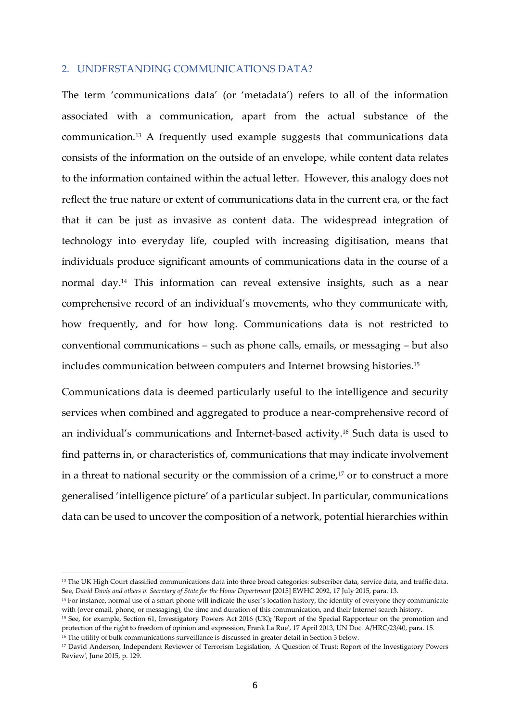#### 2. UNDERSTANDING COMMUNICATIONS DATA?

The term 'communications data' (or 'metadata') refers to all of the information associated with a communication, apart from the actual substance of the communication.13 A frequently used example suggests that communications data consists of the information on the outside of an envelope, while content data relates to the information contained within the actual letter. However, this analogy does not reflect the true nature or extent of communications data in the current era, or the fact that it can be just as invasive as content data. The widespread integration of technology into everyday life, coupled with increasing digitisation, means that individuals produce significant amounts of communications data in the course of a normal day.14 This information can reveal extensive insights, such as a near comprehensive record of an individual's movements, who they communicate with, how frequently, and for how long. Communications data is not restricted to conventional communications – such as phone calls, emails, or messaging – but also includes communication between computers and Internet browsing histories.<sup>15</sup>

Communications data is deemed particularly useful to the intelligence and security services when combined and aggregated to produce a near-comprehensive record of an individual's communications and Internet-based activity.16 Such data is used to find patterns in, or characteristics of, communications that may indicate involvement in a threat to national security or the commission of a crime, $17$  or to construct a more generalised 'intelligence picture' of a particular subject. In particular, communications data can be used to uncover the composition of a network, potential hierarchies within

<sup>&</sup>lt;sup>13</sup> The UK High Court classified communications data into three broad categories: subscriber data, service data, and traffic data. See, *David Davis and others v. Secretary of State for the Home Department* [2015] EWHC 2092, 17 July 2015, para. 13.

<sup>14</sup> For instance, normal use of a smart phone will indicate the user's location history, the identity of everyone they communicate with (over email, phone, or messaging), the time and duration of this communication, and their Internet search history.

<sup>15</sup> See, for example, Section 61, Investigatory Powers Act 2016 (UK)**;** 'Report of the Special Rapporteur on the promotion and protection of the right to freedom of opinion and expression, Frank La Rue', 17 April 2013, UN Doc. A/HRC/23/40, para. 15. <sup>16</sup> The utility of bulk communications surveillance is discussed in greater detail in Section 3 below.

<sup>17</sup> David Anderson, Independent Reviewer of Terrorism Legislation, 'A Question of Trust: Report of the Investigatory Powers Review', June 2015, p. 129.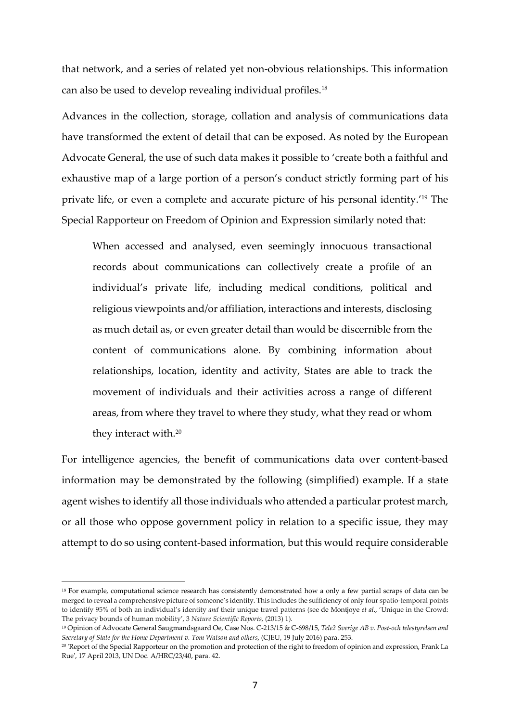that network, and a series of related yet non-obvious relationships. This information can also be used to develop revealing individual profiles.<sup>18</sup>

Advances in the collection, storage, collation and analysis of communications data have transformed the extent of detail that can be exposed. As noted by the European Advocate General, the use of such data makes it possible to 'create both a faithful and exhaustive map of a large portion of a person's conduct strictly forming part of his private life, or even a complete and accurate picture of his personal identity.'19 The Special Rapporteur on Freedom of Opinion and Expression similarly noted that:

When accessed and analysed, even seemingly innocuous transactional records about communications can collectively create a profile of an individual's private life, including medical conditions, political and religious viewpoints and/or affiliation, interactions and interests, disclosing as much detail as, or even greater detail than would be discernible from the content of communications alone. By combining information about relationships, location, identity and activity, States are able to track the movement of individuals and their activities across a range of different areas, from where they travel to where they study, what they read or whom they interact with.<sup>20</sup>

For intelligence agencies, the benefit of communications data over content-based information may be demonstrated by the following (simplified) example. If a state agent wishes to identify all those individuals who attended a particular protest march, or all those who oppose government policy in relation to a specific issue, they may attempt to do so using content-based information, but this would require considerable

<sup>&</sup>lt;sup>18</sup> For example, computational science research has consistently demonstrated how a only a few partial scraps of data can be merged to reveal a comprehensive picture of someone's identity. This includes the sufficiency of only four spatio-temporal points to identify 95% of both an individual's identity *and* their unique travel patterns (see de Montjoye *et al*., 'Unique in the Crowd: The privacy bounds of human mobility', 3 *Nature Scientific Reports*, (2013) 1).

<sup>19</sup> Opinion of Advocate General Saugmandsgaard Oe, Case Nos. C-213/15 & C-698/15, *Tele2 Sverige AB v. Post-och telestyrelsen and Secretary of State for the Home Department v. Tom Watson and others*, (CJEU, 19 July 2016) para. 253.

<sup>20</sup> 'Report of the Special Rapporteur on the promotion and protection of the right to freedom of opinion and expression, Frank La Rue', 17 April 2013, UN Doc. A/HRC/23/40, para. 42.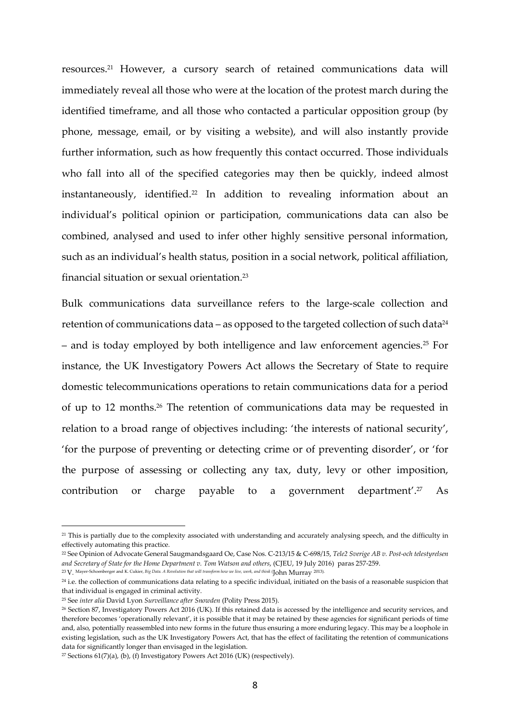resources.21 However, a cursory search of retained communications data will immediately reveal all those who were at the location of the protest march during the identified timeframe, and all those who contacted a particular opposition group (by phone, message, email, or by visiting a website), and will also instantly provide further information, such as how frequently this contact occurred. Those individuals who fall into all of the specified categories may then be quickly, indeed almost instantaneously, identified.22 In addition to revealing information about an individual's political opinion or participation, communications data can also be combined, analysed and used to infer other highly sensitive personal information, such as an individual's health status, position in a social network, political affiliation, financial situation or sexual orientation.<sup>23</sup>

Bulk communications data surveillance refers to the large-scale collection and retention of communications data – as opposed to the targeted collection of such data $24$ – and is today employed by both intelligence and law enforcement agencies.25 For instance, the UK Investigatory Powers Act allows the Secretary of State to require domestic telecommunications operations to retain communications data for a period of up to 12 months.26 The retention of communications data may be requested in relation to a broad range of objectives including: 'the interests of national security', 'for the purpose of preventing or detecting crime or of preventing disorder', or 'for the purpose of assessing or collecting any tax, duty, levy or other imposition, contribution or charge payable to a government department'.27 As

<sup>21</sup> This is partially due to the complexity associated with understanding and accurately analysing speech, and the difficulty in effectively automating this practice.

<sup>22</sup> See Opinion of Advocate General Saugmandsgaard Oe, Case Nos. C-213/15 & C-698/15, *Tele2 Sverige AB v. Post-och telestyrelsen and Secretary of State for the Home Department v. Tom Watson and others*, (CJEU, 19 July 2016) paras 257-259.

<sup>23</sup>V. Mayer-Schoenberger and K. Cukier, *Big Data. A Revolution that will transform how we live, work, and think* (John Murray 2013).

<sup>&</sup>lt;sup>24</sup> i.e. the collection of communications data relating to a specific individual, initiated on the basis of a reasonable suspicion that that individual is engaged in criminal activity.

<sup>25</sup> See *inter alia* David Lyon *Surveillance after Snowden* (Polity Press 2015).

<sup>26</sup> Section 87, Investigatory Powers Act 2016 (UK). If this retained data is accessed by the intelligence and security services, and therefore becomes 'operationally relevant', it is possible that it may be retained by these agencies for significant periods of time and, also, potentially reassembled into new forms in the future thus ensuring a more enduring legacy. This may be a loophole in existing legislation, such as the UK Investigatory Powers Act, that has the effect of facilitating the retention of communications data for significantly longer than envisaged in the legislation.

<sup>&</sup>lt;sup>27</sup> Sections  $61(7)(a)$ , (b), (f) Investigatory Powers Act 2016 (UK) (respectively).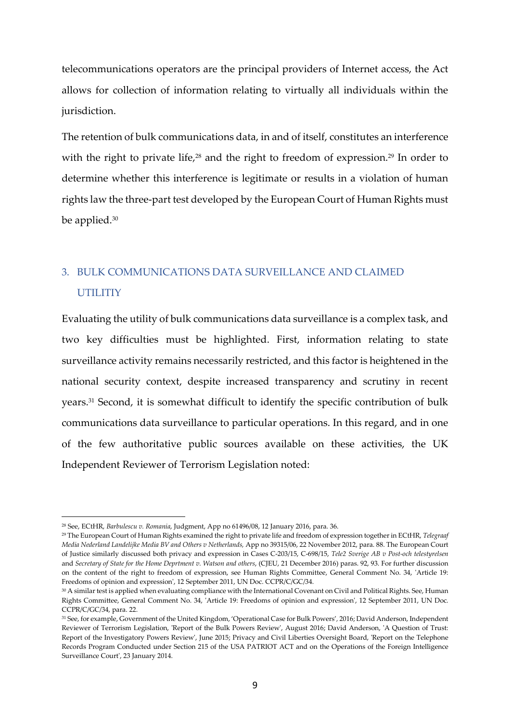telecommunications operators are the principal providers of Internet access, the Act allows for collection of information relating to virtually all individuals within the jurisdiction.

The retention of bulk communications data, in and of itself, constitutes an interference with the right to private life,<sup>28</sup> and the right to freedom of expression.<sup>29</sup> In order to determine whether this interference is legitimate or results in a violation of human rights law the three-part test developed by the European Court of Human Rights must be applied.<sup>30</sup>

# 3. BULK COMMUNICATIONS DATA SURVEILLANCE AND CLAIMED **UTILITIY**

Evaluating the utility of bulk communications data surveillance is a complex task, and two key difficulties must be highlighted. First, information relating to state surveillance activity remains necessarily restricted, and this factor is heightened in the national security context, despite increased transparency and scrutiny in recent years.31 Second, it is somewhat difficult to identify the specific contribution of bulk communications data surveillance to particular operations. In this regard, and in one of the few authoritative public sources available on these activities, the UK Independent Reviewer of Terrorism Legislation noted:

<sup>28</sup> See, ECtHR, *Barbulescu v. Romania*, Judgment, App no 61496/08, 12 January 2016, para. 36.

<sup>29</sup> The European Court of Human Rights examined the right to private life and freedom of expression together in ECtHR, *Telegraaf Media Nederland Landelijke Media BV and Others v Netherlands,* App no 39315/06, 22 November 2012, para. 88. The European Court of Justice similarly discussed both privacy and expression in Cases C-203/15, C-698/15, *Tele2 Sverige AB v Post-och telestyrelsen*  and *Secretary of State for the Home Deprtment v. Watson and others*, (CJEU, 21 December 2016) paras. 92, 93. For further discussion on the content of the right to freedom of expression, see Human Rights Committee, General Comment No. 34, 'Article 19: Freedoms of opinion and expression', 12 September 2011, UN Doc. CCPR/C/GC/34.

<sup>30</sup> A similar test is applied when evaluating compliance with the International Covenant on Civil and Political Rights. See, Human Rights Committee, General Comment No. 34, 'Article 19: Freedoms of opinion and expression', 12 September 2011, UN Doc. CCPR/C/GC/34, para. 22.

<sup>31</sup> See, for example, Government of the United Kingdom, 'Operational Case for Bulk Powers'*,* 2016; David Anderson, Independent Reviewer of Terrorism Legislation, 'Report of the Bulk Powers Review', August 2016; David Anderson, 'A Question of Trust: Report of the Investigatory Powers Review', June 2015; Privacy and Civil Liberties Oversight Board, 'Report on the Telephone Records Program Conducted under Section 215 of the USA PATRIOT ACT and on the Operations of the Foreign Intelligence Surveillance Court', 23 January 2014.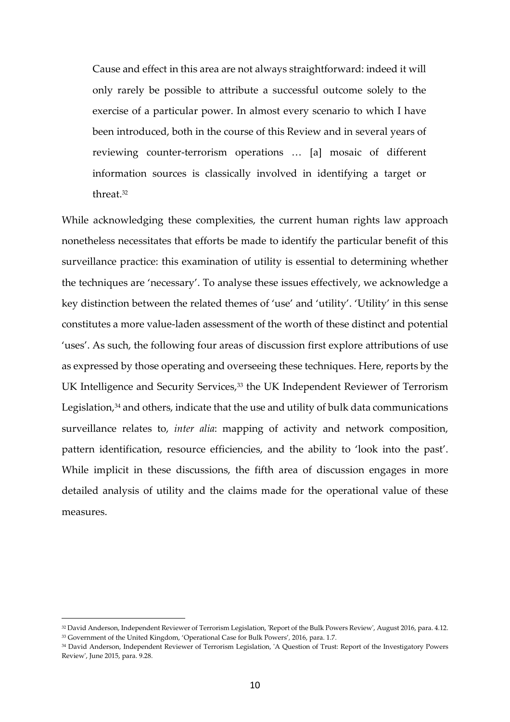Cause and effect in this area are not always straightforward: indeed it will only rarely be possible to attribute a successful outcome solely to the exercise of a particular power. In almost every scenario to which I have been introduced, both in the course of this Review and in several years of reviewing counter-terrorism operations … [a] mosaic of different information sources is classically involved in identifying a target or threat.<sup>32</sup>

While acknowledging these complexities, the current human rights law approach nonetheless necessitates that efforts be made to identify the particular benefit of this surveillance practice: this examination of utility is essential to determining whether the techniques are 'necessary'. To analyse these issues effectively, we acknowledge a key distinction between the related themes of 'use' and 'utility'. 'Utility' in this sense constitutes a more value-laden assessment of the worth of these distinct and potential 'uses'. As such, the following four areas of discussion first explore attributions of use as expressed by those operating and overseeing these techniques. Here, reports by the UK Intelligence and Security Services,<sup>33</sup> the UK Independent Reviewer of Terrorism Legislation, $34$  and others, indicate that the use and utility of bulk data communications surveillance relates to, *inter alia*: mapping of activity and network composition, pattern identification, resource efficiencies, and the ability to 'look into the past'. While implicit in these discussions, the fifth area of discussion engages in more detailed analysis of utility and the claims made for the operational value of these measures.

<sup>32</sup> David Anderson, Independent Reviewer of Terrorism Legislation, 'Report of the Bulk Powers Review', August 2016, para. 4.12. <sup>33</sup> Government of the United Kingdom, 'Operational Case for Bulk Powers'*,* 2016, para. 1.7.

<sup>34</sup> David Anderson, Independent Reviewer of Terrorism Legislation, 'A Question of Trust: Report of the Investigatory Powers Review', June 2015, para. 9.28.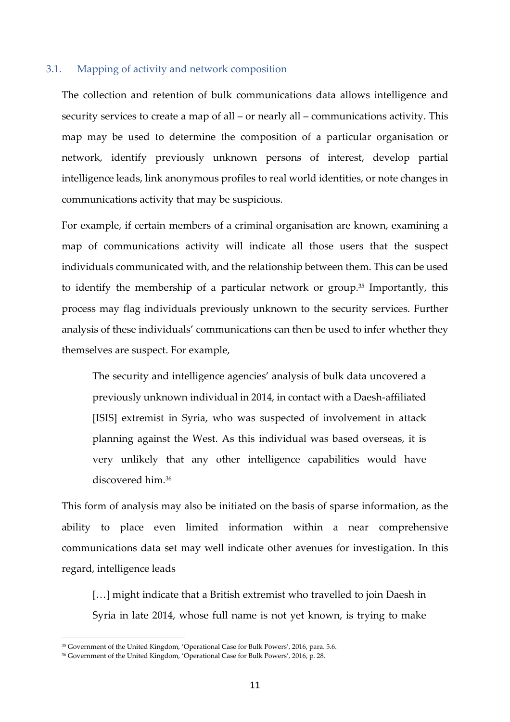#### 3.1. Mapping of activity and network composition

The collection and retention of bulk communications data allows intelligence and security services to create a map of all – or nearly all – communications activity. This map may be used to determine the composition of a particular organisation or network, identify previously unknown persons of interest, develop partial intelligence leads, link anonymous profiles to real world identities, or note changes in communications activity that may be suspicious.

For example, if certain members of a criminal organisation are known, examining a map of communications activity will indicate all those users that the suspect individuals communicated with, and the relationship between them. This can be used to identify the membership of a particular network or group.35 Importantly, this process may flag individuals previously unknown to the security services. Further analysis of these individuals' communications can then be used to infer whether they themselves are suspect. For example,

The security and intelligence agencies' analysis of bulk data uncovered a previously unknown individual in 2014, in contact with a Daesh-affiliated [ISIS] extremist in Syria, who was suspected of involvement in attack planning against the West. As this individual was based overseas, it is very unlikely that any other intelligence capabilities would have discovered him.<sup>36</sup>

This form of analysis may also be initiated on the basis of sparse information, as the ability to place even limited information within a near comprehensive communications data set may well indicate other avenues for investigation. In this regard, intelligence leads

[...] might indicate that a British extremist who travelled to join Daesh in Syria in late 2014, whose full name is not yet known, is trying to make

<sup>35</sup> Government of the United Kingdom, 'Operational Case for Bulk Powers'*,* 2016, para. 5.6.

<sup>36</sup> Government of the United Kingdom, 'Operational Case for Bulk Powers'*,* 2016, p. 28.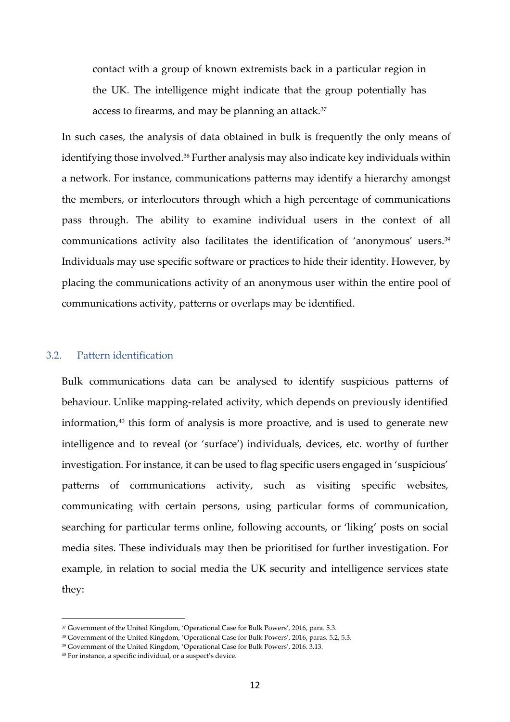contact with a group of known extremists back in a particular region in the UK. The intelligence might indicate that the group potentially has access to firearms, and may be planning an attack. $37$ 

In such cases, the analysis of data obtained in bulk is frequently the only means of identifying those involved.38 Further analysis may also indicate key individuals within a network. For instance, communications patterns may identify a hierarchy amongst the members, or interlocutors through which a high percentage of communications pass through. The ability to examine individual users in the context of all communications activity also facilitates the identification of 'anonymous' users.<sup>39</sup> Individuals may use specific software or practices to hide their identity. However, by placing the communications activity of an anonymous user within the entire pool of communications activity, patterns or overlaps may be identified.

## 3.2. Pattern identification

Bulk communications data can be analysed to identify suspicious patterns of behaviour. Unlike mapping-related activity, which depends on previously identified information, $40$  this form of analysis is more proactive, and is used to generate new intelligence and to reveal (or 'surface') individuals, devices, etc. worthy of further investigation. For instance, it can be used to flag specific users engaged in 'suspicious' patterns of communications activity, such as visiting specific websites, communicating with certain persons, using particular forms of communication, searching for particular terms online, following accounts, or 'liking' posts on social media sites. These individuals may then be prioritised for further investigation. For example, in relation to social media the UK security and intelligence services state they:

<sup>37</sup> Government of the United Kingdom, 'Operational Case for Bulk Powers'*,* 2016, para. 5.3.

<sup>38</sup> Government of the United Kingdom, 'Operational Case for Bulk Powers'*,* 2016, paras. 5.2, 5.3.

<sup>39</sup> Government of the United Kingdom, 'Operational Case for Bulk Powers'*,* 2016. 3.13.

<sup>40</sup> For instance, a specific individual, or a suspect's device.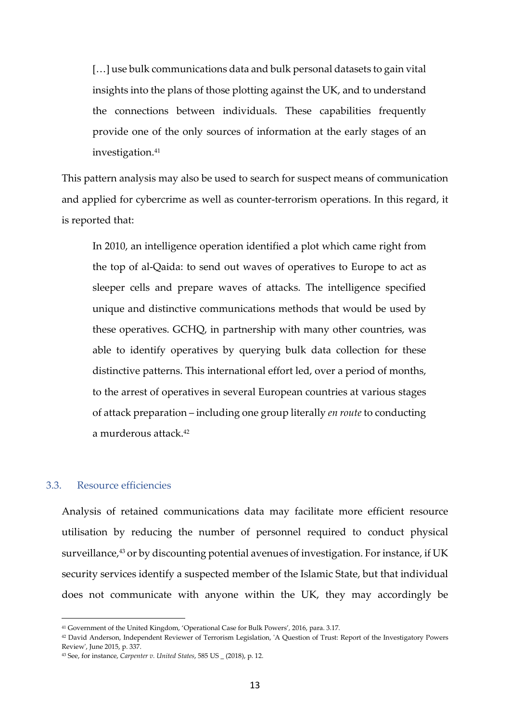[...] use bulk communications data and bulk personal datasets to gain vital insights into the plans of those plotting against the UK, and to understand the connections between individuals. These capabilities frequently provide one of the only sources of information at the early stages of an investigation.<sup>41</sup>

This pattern analysis may also be used to search for suspect means of communication and applied for cybercrime as well as counter-terrorism operations. In this regard, it is reported that:

In 2010, an intelligence operation identified a plot which came right from the top of al-Qaida: to send out waves of operatives to Europe to act as sleeper cells and prepare waves of attacks. The intelligence specified unique and distinctive communications methods that would be used by these operatives. GCHQ, in partnership with many other countries, was able to identify operatives by querying bulk data collection for these distinctive patterns. This international effort led, over a period of months, to the arrest of operatives in several European countries at various stages of attack preparation – including one group literally *en route* to conducting a murderous attack.<sup>42</sup>

## 3.3. Resource efficiencies

 $\overline{a}$ 

Analysis of retained communications data may facilitate more efficient resource utilisation by reducing the number of personnel required to conduct physical surveillance,<sup>43</sup> or by discounting potential avenues of investigation. For instance, if UK security services identify a suspected member of the Islamic State, but that individual does not communicate with anyone within the UK, they may accordingly be

<sup>41</sup> Government of the United Kingdom, 'Operational Case for Bulk Powers'*,* 2016, para. 3.17.

<sup>42</sup> David Anderson, Independent Reviewer of Terrorism Legislation, 'A Question of Trust: Report of the Investigatory Powers Review', June 2015, p. 337.

<sup>43</sup> See, for instance, *Carpenter v. United States*, 585 US \_ (2018), p. 12.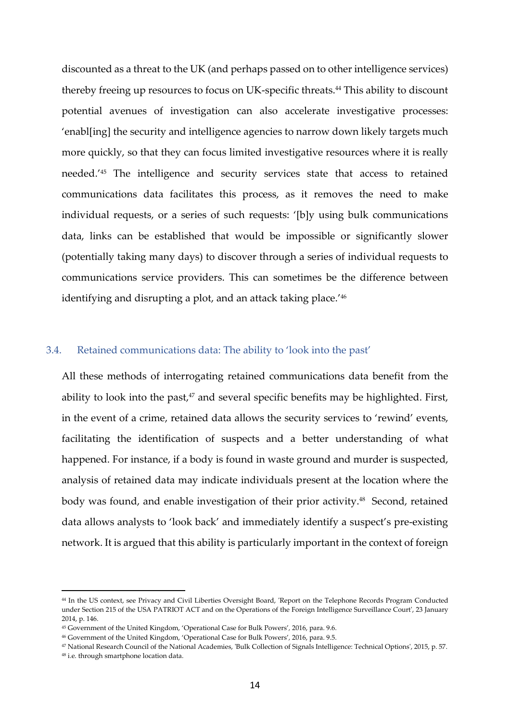discounted as a threat to the UK (and perhaps passed on to other intelligence services) thereby freeing up resources to focus on UK-specific threats.44 This ability to discount potential avenues of investigation can also accelerate investigative processes: 'enabl[ing] the security and intelligence agencies to narrow down likely targets much more quickly, so that they can focus limited investigative resources where it is really needed.'45 The intelligence and security services state that access to retained communications data facilitates this process, as it removes the need to make individual requests, or a series of such requests: '[b]y using bulk communications data, links can be established that would be impossible or significantly slower (potentially taking many days) to discover through a series of individual requests to communications service providers. This can sometimes be the difference between identifying and disrupting a plot, and an attack taking place.'<sup>46</sup>

#### 3.4. Retained communications data: The ability to 'look into the past'

All these methods of interrogating retained communications data benefit from the ability to look into the past,<sup>47</sup> and several specific benefits may be highlighted. First, in the event of a crime, retained data allows the security services to 'rewind' events, facilitating the identification of suspects and a better understanding of what happened. For instance, if a body is found in waste ground and murder is suspected, analysis of retained data may indicate individuals present at the location where the body was found, and enable investigation of their prior activity.<sup>48</sup> Second, retained data allows analysts to 'look back' and immediately identify a suspect's pre-existing network. It is argued that this ability is particularly important in the context of foreign

<sup>44</sup> In the US context, see Privacy and Civil Liberties Oversight Board, 'Report on the Telephone Records Program Conducted under Section 215 of the USA PATRIOT ACT and on the Operations of the Foreign Intelligence Surveillance Court', 23 January 2014, p. 146.

<sup>45</sup> Government of the United Kingdom, 'Operational Case for Bulk Powers'*,* 2016, para. 9.6.

<sup>46</sup> Government of the United Kingdom, 'Operational Case for Bulk Powers'*,* 2016, para. 9.5.

<sup>47</sup> National Research Council of the National Academies, 'Bulk Collection of Signals Intelligence: Technical Options', 2015, p. 57.

<sup>48</sup> i.e. through smartphone location data.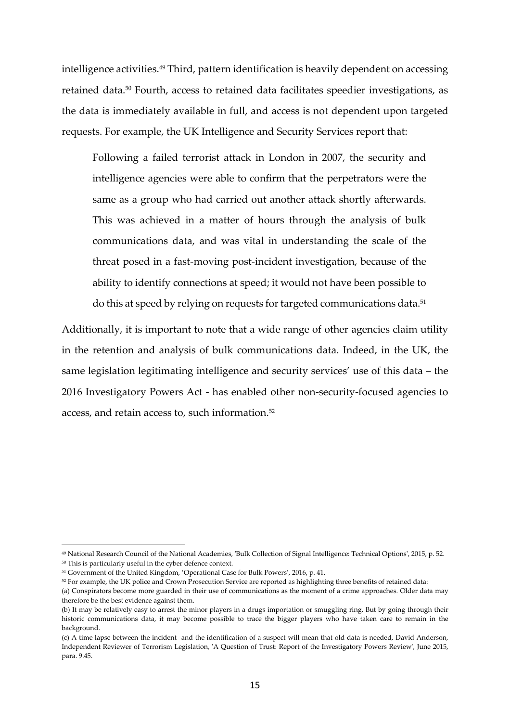intelligence activities.<sup>49</sup> Third, pattern identification is heavily dependent on accessing retained data.50 Fourth, access to retained data facilitates speedier investigations, as the data is immediately available in full, and access is not dependent upon targeted requests. For example, the UK Intelligence and Security Services report that:

Following a failed terrorist attack in London in 2007, the security and intelligence agencies were able to confirm that the perpetrators were the same as a group who had carried out another attack shortly afterwards. This was achieved in a matter of hours through the analysis of bulk communications data, and was vital in understanding the scale of the threat posed in a fast-moving post-incident investigation, because of the ability to identify connections at speed; it would not have been possible to do this at speed by relying on requests for targeted communications data.<sup>51</sup>

Additionally, it is important to note that a wide range of other agencies claim utility in the retention and analysis of bulk communications data. Indeed, in the UK, the same legislation legitimating intelligence and security services' use of this data – the 2016 Investigatory Powers Act - has enabled other non-security-focused agencies to access, and retain access to, such information.<sup>52</sup>

<sup>49</sup> National Research Council of the National Academies, 'Bulk Collection of Signal Intelligence: Technical Options', 2015, p. 52.

<sup>50</sup> This is particularly useful in the cyber defence context.

<sup>51</sup> Government of the United Kingdom, 'Operational Case for Bulk Powers'*,* 2016, p. 41.

<sup>52</sup> For example, the UK police and Crown Prosecution Service are reported as highlighting three benefits of retained data:

<sup>(</sup>a) Conspirators become more guarded in their use of communications as the moment of a crime approaches. Older data may therefore be the best evidence against them.

<sup>(</sup>b) It may be relatively easy to arrest the minor players in a drugs importation or smuggling ring. But by going through their historic communications data, it may become possible to trace the bigger players who have taken care to remain in the background.

<sup>(</sup>c) A time lapse between the incident and the identification of a suspect will mean that old data is needed, David Anderson, Independent Reviewer of Terrorism Legislation, 'A Question of Trust: Report of the Investigatory Powers Review', June 2015, para. 9.45.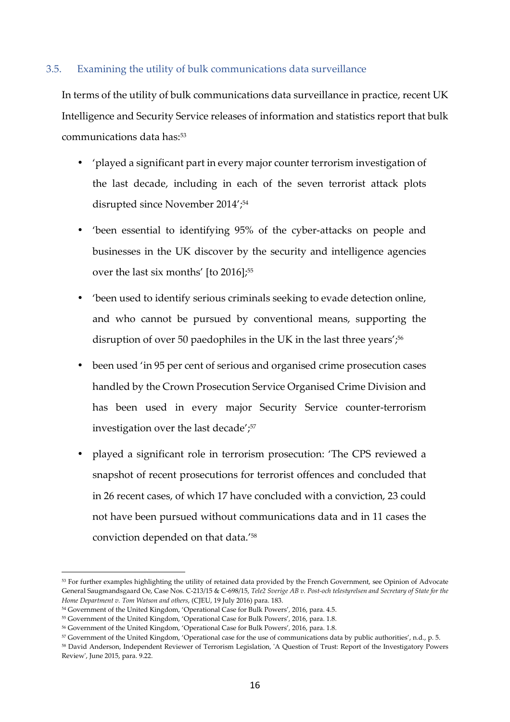## 3.5. Examining the utility of bulk communications data surveillance

In terms of the utility of bulk communications data surveillance in practice, recent UK Intelligence and Security Service releases of information and statistics report that bulk communications data has:<sup>53</sup>

- 'played a significant part in every major counter terrorism investigation of the last decade, including in each of the seven terrorist attack plots disrupted since November 2014';<sup>54</sup>
- 'been essential to identifying 95% of the cyber-attacks on people and businesses in the UK discover by the security and intelligence agencies over the last six months' [to 2016];<sup>55</sup>
- 'been used to identify serious criminals seeking to evade detection online, and who cannot be pursued by conventional means, supporting the disruption of over 50 paedophiles in the UK in the last three years',<sup>56</sup>
- been used 'in 95 per cent of serious and organised crime prosecution cases handled by the Crown Prosecution Service Organised Crime Division and has been used in every major Security Service counter-terrorism investigation over the last decade';<sup>57</sup>
- played a significant role in terrorism prosecution: 'The CPS reviewed a snapshot of recent prosecutions for terrorist offences and concluded that in 26 recent cases, of which 17 have concluded with a conviction, 23 could not have been pursued without communications data and in 11 cases the conviction depended on that data.'<sup>58</sup>

<sup>53</sup> For further examples highlighting the utility of retained data provided by the French Government, see Opinion of Advocate General Saugmandsgaard Oe, Case Nos. C-213/15 & C-698/15, *Tele2 Sverige AB v. Post-och telestyrelsen and Secretary of State for the Home Department v. Tom Watson and others*, (CJEU, 19 July 2016) para. 183.

<sup>54</sup> Government of the United Kingdom, 'Operational Case for Bulk Powers'*,* 2016, para. 4.5.

<sup>55</sup> Government of the United Kingdom, 'Operational Case for Bulk Powers'*,* 2016, para. 1.8.

<sup>56</sup> Government of the United Kingdom, 'Operational Case for Bulk Powers'*,* 2016, para. 1.8.

<sup>57</sup> Government of the United Kingdom, 'Operational case for the use of communications data by public authorities', n.d., p. 5.

<sup>58</sup> David Anderson, Independent Reviewer of Terrorism Legislation, 'A Question of Trust: Report of the Investigatory Powers Review', June 2015, para. 9.22.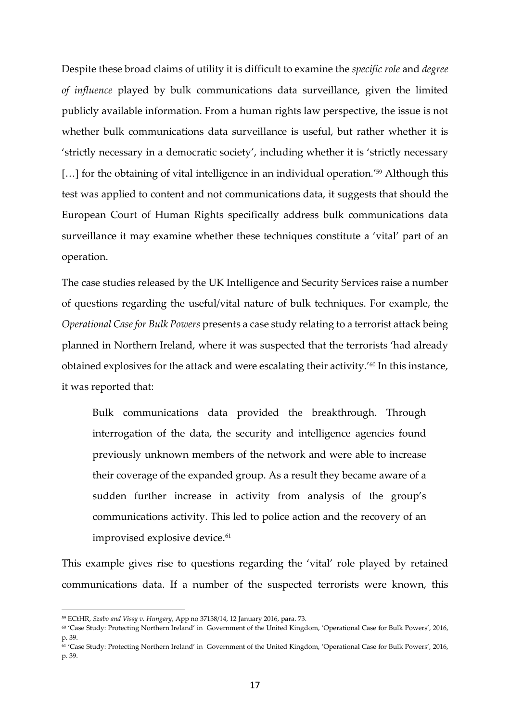Despite these broad claims of utility it is difficult to examine the *specific role* and *degree of influence* played by bulk communications data surveillance, given the limited publicly available information. From a human rights law perspective, the issue is not whether bulk communications data surveillance is useful, but rather whether it is 'strictly necessary in a democratic society', including whether it is 'strictly necessary [...] for the obtaining of vital intelligence in an individual operation.<sup>'59</sup> Although this test was applied to content and not communications data, it suggests that should the European Court of Human Rights specifically address bulk communications data surveillance it may examine whether these techniques constitute a 'vital' part of an operation.

The case studies released by the UK Intelligence and Security Services raise a number of questions regarding the useful/vital nature of bulk techniques. For example, the *Operational Case for Bulk Powers* presents a case study relating to a terrorist attack being planned in Northern Ireland, where it was suspected that the terrorists 'had already obtained explosives for the attack and were escalating their activity.'60 In this instance, it was reported that:

Bulk communications data provided the breakthrough. Through interrogation of the data, the security and intelligence agencies found previously unknown members of the network and were able to increase their coverage of the expanded group. As a result they became aware of a sudden further increase in activity from analysis of the group's communications activity. This led to police action and the recovery of an improvised explosive device.<sup>61</sup>

This example gives rise to questions regarding the 'vital' role played by retained communications data. If a number of the suspected terrorists were known, this

<sup>59</sup> ECtHR, *Szabo and Vissy v. Hungary*, App no 37138/14, 12 January 2016, para. 73.

<sup>60</sup> 'Case Study: Protecting Northern Ireland' in Government of the United Kingdom, 'Operational Case for Bulk Powers'*,* 2016, p. 39.

<sup>61</sup> 'Case Study: Protecting Northern Ireland' in Government of the United Kingdom, 'Operational Case for Bulk Powers'*,* 2016, p. 39.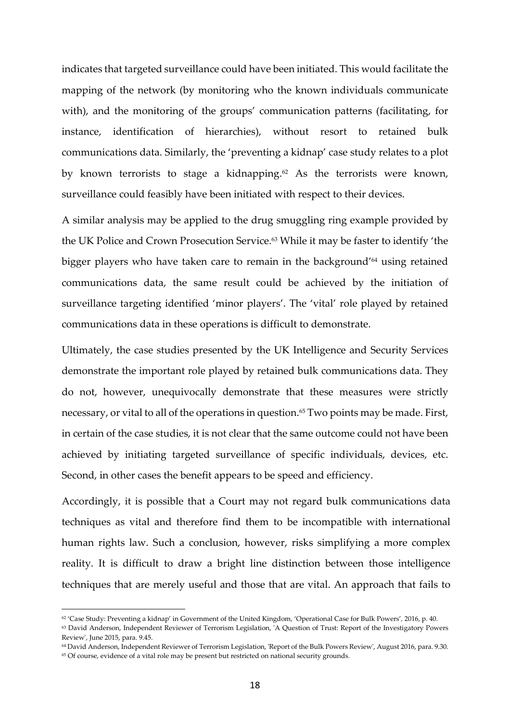indicates that targeted surveillance could have been initiated. This would facilitate the mapping of the network (by monitoring who the known individuals communicate with), and the monitoring of the groups' communication patterns (facilitating, for instance, identification of hierarchies), without resort to retained bulk communications data. Similarly, the 'preventing a kidnap' case study relates to a plot by known terrorists to stage a kidnapping.<sup>62</sup> As the terrorists were known, surveillance could feasibly have been initiated with respect to their devices.

A similar analysis may be applied to the drug smuggling ring example provided by the UK Police and Crown Prosecution Service.<sup>63</sup> While it may be faster to identify 'the bigger players who have taken care to remain in the background'64 using retained communications data, the same result could be achieved by the initiation of surveillance targeting identified 'minor players'. The 'vital' role played by retained communications data in these operations is difficult to demonstrate.

Ultimately, the case studies presented by the UK Intelligence and Security Services demonstrate the important role played by retained bulk communications data. They do not, however, unequivocally demonstrate that these measures were strictly necessary, or vital to all of the operations in question.<sup>65</sup> Two points may be made. First, in certain of the case studies, it is not clear that the same outcome could not have been achieved by initiating targeted surveillance of specific individuals, devices, etc. Second, in other cases the benefit appears to be speed and efficiency.

Accordingly, it is possible that a Court may not regard bulk communications data techniques as vital and therefore find them to be incompatible with international human rights law. Such a conclusion, however, risks simplifying a more complex reality. It is difficult to draw a bright line distinction between those intelligence techniques that are merely useful and those that are vital. An approach that fails to

<sup>62</sup> 'Case Study: Preventing a kidnap' in Government of the United Kingdom, 'Operational Case for Bulk Powers'*,* 2016, p. 40.

<sup>63</sup> David Anderson, Independent Reviewer of Terrorism Legislation, 'A Question of Trust: Report of the Investigatory Powers Review', June 2015, para. 9.45.

<sup>64</sup> David Anderson, Independent Reviewer of Terrorism Legislation, 'Report of the Bulk Powers Review', August 2016, para. 9.30. <sup>65</sup> Of course, evidence of a vital role may be present but restricted on national security grounds.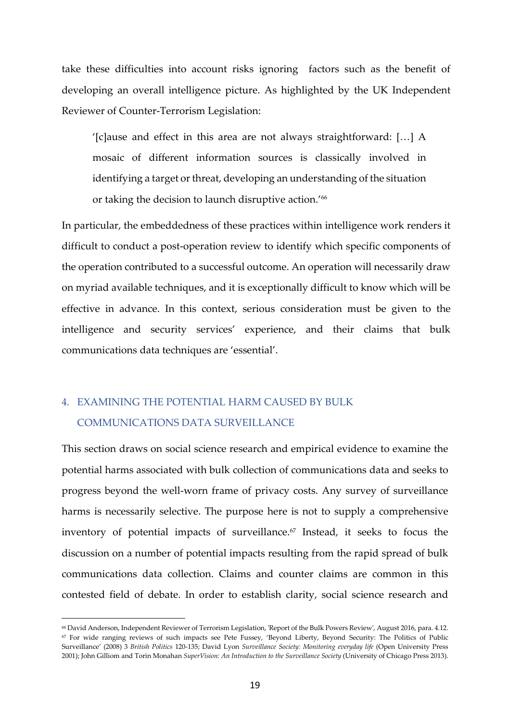take these difficulties into account risks ignoring factors such as the benefit of developing an overall intelligence picture. As highlighted by the UK Independent Reviewer of Counter-Terrorism Legislation:

'[c]ause and effect in this area are not always straightforward: […] A mosaic of different information sources is classically involved in identifying a target or threat, developing an understanding of the situation or taking the decision to launch disruptive action.' 66

In particular, the embeddedness of these practices within intelligence work renders it difficult to conduct a post-operation review to identify which specific components of the operation contributed to a successful outcome. An operation will necessarily draw on myriad available techniques, and it is exceptionally difficult to know which will be effective in advance. In this context, serious consideration must be given to the intelligence and security services' experience, and their claims that bulk communications data techniques are 'essential'.

# 4. EXAMINING THE POTENTIAL HARM CAUSED BY BULK COMMUNICATIONS DATA SURVEILLANCE

 $\overline{a}$ 

This section draws on social science research and empirical evidence to examine the potential harms associated with bulk collection of communications data and seeks to progress beyond the well-worn frame of privacy costs. Any survey of surveillance harms is necessarily selective. The purpose here is not to supply a comprehensive inventory of potential impacts of surveillance.<sup>67</sup> Instead, it seeks to focus the discussion on a number of potential impacts resulting from the rapid spread of bulk communications data collection. Claims and counter claims are common in this contested field of debate. In order to establish clarity, social science research and

<sup>66</sup> David Anderson, Independent Reviewer of Terrorism Legislation, 'Report of the Bulk Powers Review', August 2016, para. 4.12. <sup>67</sup> For wide ranging reviews of such impacts see Pete Fussey, 'Beyond Liberty, Beyond Security: The Politics of Public Surveillance' (2008) 3 *British Politics* 120-135; David Lyon *Surveillance Society: Monitoring everyday life* (Open University Press 2001); John Gilliom and Torin Monahan *SuperVision: An Introduction to the Surveillance Society* (University of Chicago Press 2013).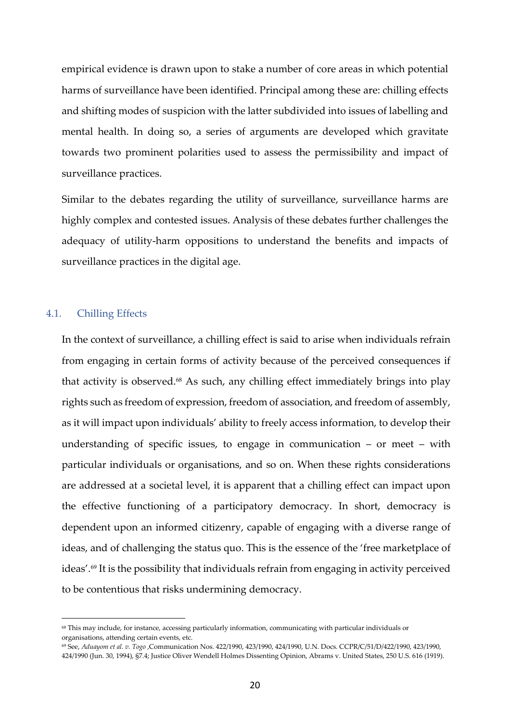empirical evidence is drawn upon to stake a number of core areas in which potential harms of surveillance have been identified. Principal among these are: chilling effects and shifting modes of suspicion with the latter subdivided into issues of labelling and mental health. In doing so, a series of arguments are developed which gravitate towards two prominent polarities used to assess the permissibility and impact of surveillance practices.

Similar to the debates regarding the utility of surveillance, surveillance harms are highly complex and contested issues. Analysis of these debates further challenges the adequacy of utility-harm oppositions to understand the benefits and impacts of surveillance practices in the digital age.

### 4.1. Chilling Effects

 $\overline{a}$ 

In the context of surveillance, a chilling effect is said to arise when individuals refrain from engaging in certain forms of activity because of the perceived consequences if that activity is observed.68 As such, any chilling effect immediately brings into play rights such as freedom of expression, freedom of association, and freedom of assembly, as it will impact upon individuals' ability to freely access information, to develop their understanding of specific issues, to engage in communication – or meet – with particular individuals or organisations, and so on. When these rights considerations are addressed at a societal level, it is apparent that a chilling effect can impact upon the effective functioning of a participatory democracy. In short, democracy is dependent upon an informed citizenry, capable of engaging with a diverse range of ideas, and of challenging the status quo. This is the essence of the 'free marketplace of ideas'.69 It is the possibility that individuals refrain from engaging in activity perceived to be contentious that risks undermining democracy.

<sup>68</sup> This may include, for instance, accessing particularly information, communicating with particular individuals or organisations, attending certain events, etc.

<sup>69</sup> See, *Aduayom et al. v. Togo* ,Communication Nos. 422/1990, 423/1990, 424/1990, U.N. Docs. CCPR/C/51/D/422/1990, 423/1990, 424/1990 (Jun. 30, 1994), §7.4; Justice Oliver Wendell Holmes Dissenting Opinion, Abrams v. United States, 250 U.S. 616 (1919).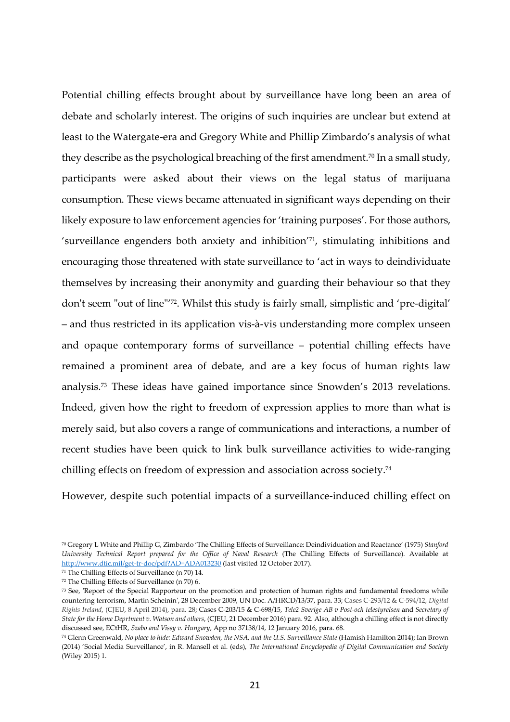Potential chilling effects brought about by surveillance have long been an area of debate and scholarly interest. The origins of such inquiries are unclear but extend at least to the Watergate-era and Gregory White and Phillip Zimbardo's analysis of what they describe as the psychological breaching of the first amendment.<sup>70</sup> In a small study, participants were asked about their views on the legal status of marijuana consumption. These views became attenuated in significant ways depending on their likely exposure to law enforcement agencies for 'training purposes'. For those authors, 'surveillance engenders both anxiety and inhibition' <sup>71</sup>, stimulating inhibitions and encouraging those threatened with state surveillance to 'act in ways to deindividuate themselves by increasing their anonymity and guarding their behaviour so that they don't seem "out of line"'72. Whilst this study is fairly small, simplistic and 'pre-digital' – and thus restricted in its application vis-à-vis understanding more complex unseen and opaque contemporary forms of surveillance – potential chilling effects have remained a prominent area of debate, and are a key focus of human rights law analysis.73 These ideas have gained importance since Snowden's 2013 revelations. Indeed, given how the right to freedom of expression applies to more than what is merely said, but also covers a range of communications and interactions, a number of recent studies have been quick to link bulk surveillance activities to wide-ranging chilling effects on freedom of expression and association across society.<sup>74</sup>

However, despite such potential impacts of a surveillance-induced chilling effect on

<sup>70</sup> Gregory L White and Phillip G, Zimbardo 'The Chilling Effects of Surveillance: Deindividuation and Reactance' (1975) *Stanford University Technical Report prepared for the Office of Naval Research* (The Chilling Effects of Surveillance). Available at http://www.dtic.mil/get-tr-doc/pdf?AD=ADA013230 (last visited 12 October 2017).

<sup>71</sup> The Chilling Effects of Surveillance (n 70) 14.

<sup>72</sup> The Chilling Effects of Surveillance (n 70) 6.

<sup>73</sup> See, 'Report of the Special Rapporteur on the promotion and protection of human rights and fundamental freedoms while countering terrorism, Martin Scheinin', 28 December 2009, UN Doc. A/HRCD/13/37, para. 33; Cases C-293/12 & C-594/12, *Digital Rights Ireland*, (CJEU, 8 April 2014), para. 28; Cases C-203/15 & C-698/15, *Tele2 Sverige AB v Post-och telestyrelsen* and *Secretary of State for the Home Deprtment v. Watson and others*, (CJEU, 21 December 2016) para. 92. Also, although a chilling effect is not directly discussed see, ECtHR, *Szabo and Vissy v. Hungary*, App no 37138/14, 12 January 2016, para. 68.

<sup>74</sup> Glenn Greenwald, *No place to hide: Edward Snowden, the NSA, and the U.S. Surveillance State* (Hamish Hamilton 2014); Ian Brown (2014) 'Social Media Surveillance', in R. Mansell et al. (eds), *The International Encyclopedia of Digital Communication and Society* (Wiley 2015) 1.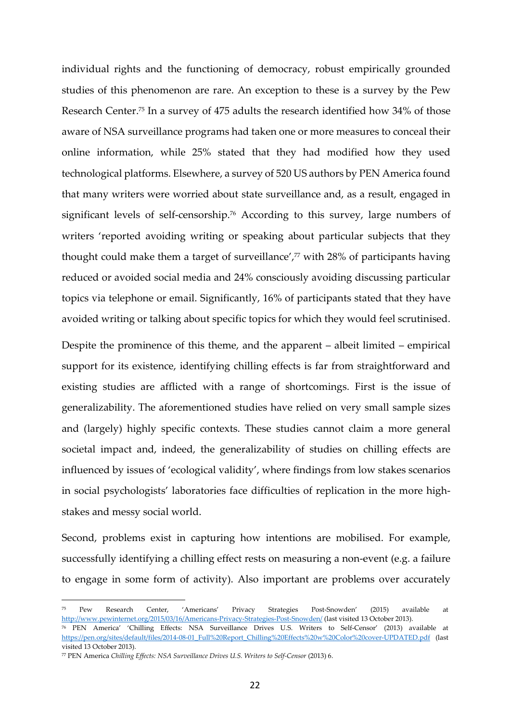individual rights and the functioning of democracy, robust empirically grounded studies of this phenomenon are rare. An exception to these is a survey by the Pew Research Center.75 In a survey of 475 adults the research identified how 34% of those aware of NSA surveillance programs had taken one or more measures to conceal their online information, while 25% stated that they had modified how they used technological platforms. Elsewhere, a survey of 520 US authors by PEN America found that many writers were worried about state surveillance and, as a result, engaged in significant levels of self-censorship.76 According to this survey, large numbers of writers 'reported avoiding writing or speaking about particular subjects that they thought could make them a target of surveillance', $\frac{7}{7}$  with 28% of participants having reduced or avoided social media and 24% consciously avoiding discussing particular topics via telephone or email. Significantly, 16% of participants stated that they have avoided writing or talking about specific topics for which they would feel scrutinised.

Despite the prominence of this theme, and the apparent – albeit limited – empirical support for its existence, identifying chilling effects is far from straightforward and existing studies are afflicted with a range of shortcomings. First is the issue of generalizability. The aforementioned studies have relied on very small sample sizes and (largely) highly specific contexts. These studies cannot claim a more general societal impact and, indeed, the generalizability of studies on chilling effects are influenced by issues of 'ecological validity', where findings from low stakes scenarios in social psychologists' laboratories face difficulties of replication in the more highstakes and messy social world.

Second, problems exist in capturing how intentions are mobilised. For example, successfully identifying a chilling effect rests on measuring a non-event (e.g. a failure to engage in some form of activity). Also important are problems over accurately

<sup>75</sup> Pew Research Center, 'Americans' Privacy Strategies Post-Snowden' (2015) available at http://www.pewinternet.org/2015/03/16/Americans-Privacy-Strategies-Post-Snowden/ (last visited 13 October 2013).

<sup>76</sup> PEN America' 'Chilling Effects: NSA Surveillance Drives U.S. Writers to Self-Censor' (2013) available at https://pen.org/sites/default/files/2014-08-01\_Full%20Report\_Chilling%20Effects%20w%20Color%20cover-UPDATED.pdf (last visited 13 October 2013).

<sup>77</sup> PEN America *Chilling Effects: NSA Surveillance Drives U.S. Writers to Self-Censor* (2013) 6.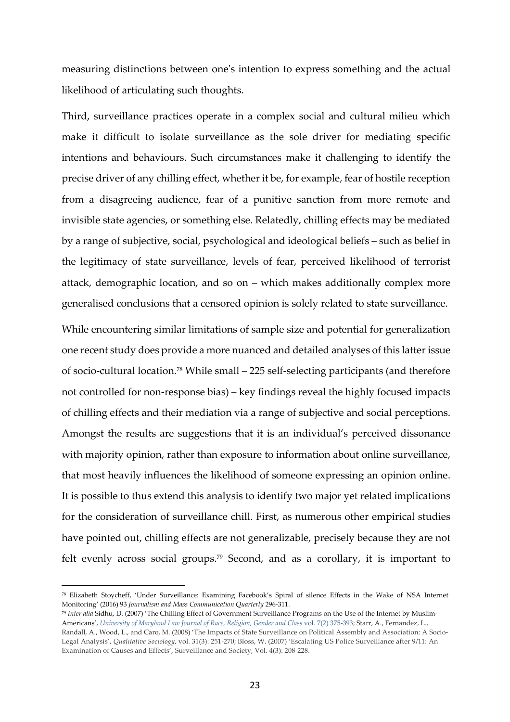measuring distinctions between one's intention to express something and the actual likelihood of articulating such thoughts.

Third, surveillance practices operate in a complex social and cultural milieu which make it difficult to isolate surveillance as the sole driver for mediating specific intentions and behaviours. Such circumstances make it challenging to identify the precise driver of any chilling effect, whether it be, for example, fear of hostile reception from a disagreeing audience, fear of a punitive sanction from more remote and invisible state agencies, or something else. Relatedly, chilling effects may be mediated by a range of subjective, social, psychological and ideological beliefs – such as belief in the legitimacy of state surveillance, levels of fear, perceived likelihood of terrorist attack, demographic location, and so on – which makes additionally complex more generalised conclusions that a censored opinion is solely related to state surveillance.

While encountering similar limitations of sample size and potential for generalization one recent study does provide a more nuanced and detailed analyses of this latter issue of socio-cultural location.78 While small – 225 self-selecting participants (and therefore not controlled for non-response bias) – key findings reveal the highly focused impacts of chilling effects and their mediation via a range of subjective and social perceptions. Amongst the results are suggestions that it is an individual's perceived dissonance with majority opinion, rather than exposure to information about online surveillance, that most heavily influences the likelihood of someone expressing an opinion online. It is possible to thus extend this analysis to identify two major yet related implications for the consideration of surveillance chill. First, as numerous other empirical studies have pointed out, chilling effects are not generalizable, precisely because they are not felt evenly across social groups.<sup>79</sup> Second, and as a corollary, it is important to

<sup>78</sup> Elizabeth Stoycheff, 'Under Surveillance: Examining Facebook's Spiral of silence Effects in the Wake of NSA Internet Monitoring' (2016) 93 *Journalism and Mass Communication Quarterly* 296-311.

<sup>79</sup> *Inter alia* Sidhu, D. (2007) 'The Chilling Effect of Government Surveillance Programs on the Use of the Internet by Muslim-Americans', *University of Maryland Law Journal of Race, Religion, Gender and Class* vol. 7(2) 375-393; Starr, A., Fernandez, L., Randall, A., Wood, L., and Caro, M. (2008) 'The Impacts of State Surveillance on Political Assembly and Association: A Socio-Legal Analysis', *Qualitative Sociology*, vol. 31(3): 251-270; Bloss, W. (2007) 'Escalating US Police Surveillance after 9/11: An Examination of Causes and Effects', Surveillance and Society, Vol. 4(3): 208-228.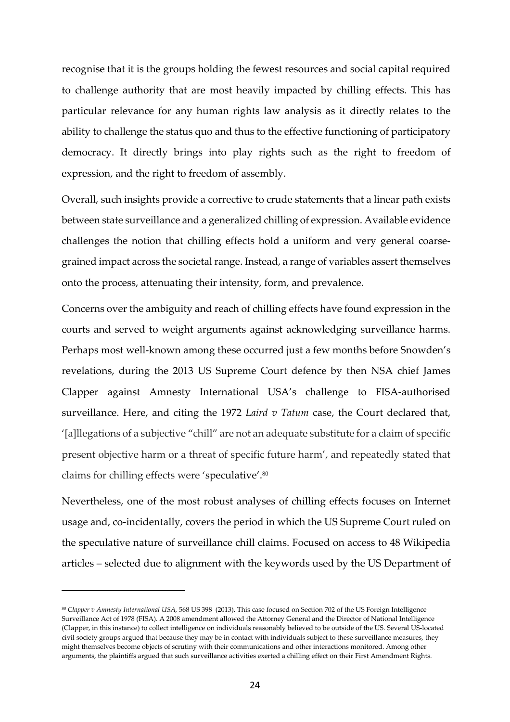recognise that it is the groups holding the fewest resources and social capital required to challenge authority that are most heavily impacted by chilling effects. This has particular relevance for any human rights law analysis as it directly relates to the ability to challenge the status quo and thus to the effective functioning of participatory democracy. It directly brings into play rights such as the right to freedom of expression, and the right to freedom of assembly.

Overall, such insights provide a corrective to crude statements that a linear path exists between state surveillance and a generalized chilling of expression. Available evidence challenges the notion that chilling effects hold a uniform and very general coarsegrained impact across the societal range. Instead, a range of variables assert themselves onto the process, attenuating their intensity, form, and prevalence.

Concerns over the ambiguity and reach of chilling effects have found expression in the courts and served to weight arguments against acknowledging surveillance harms. Perhaps most well-known among these occurred just a few months before Snowden's revelations, during the 2013 US Supreme Court defence by then NSA chief James Clapper against Amnesty International USA's challenge to FISA-authorised surveillance. Here, and citing the 1972 *Laird v Tatum* case, the Court declared that, '[a]llegations of a subjective "chill" are not an adequate substitute for a claim of specific present objective harm or a threat of specific future harm', and repeatedly stated that claims for chilling effects were 'speculative'.<sup>80</sup>

Nevertheless, one of the most robust analyses of chilling effects focuses on Internet usage and, co-incidentally, covers the period in which the US Supreme Court ruled on the speculative nature of surveillance chill claims. Focused on access to 48 Wikipedia articles – selected due to alignment with the keywords used by the US Department of

<sup>80</sup> *Clapper v Amnesty International USA,* 568 US 398 (2013). This case focused on Section 702 of the US Foreign Intelligence Surveillance Act of 1978 (FISA). A 2008 amendment allowed the Attorney General and the Director of National Intelligence (Clapper, in this instance) to collect intelligence on individuals reasonably believed to be outside of the US. Several US-located civil society groups argued that because they may be in contact with individuals subject to these surveillance measures, they might themselves become objects of scrutiny with their communications and other interactions monitored. Among other arguments, the plaintiffs argued that such surveillance activities exerted a chilling effect on their First Amendment Rights.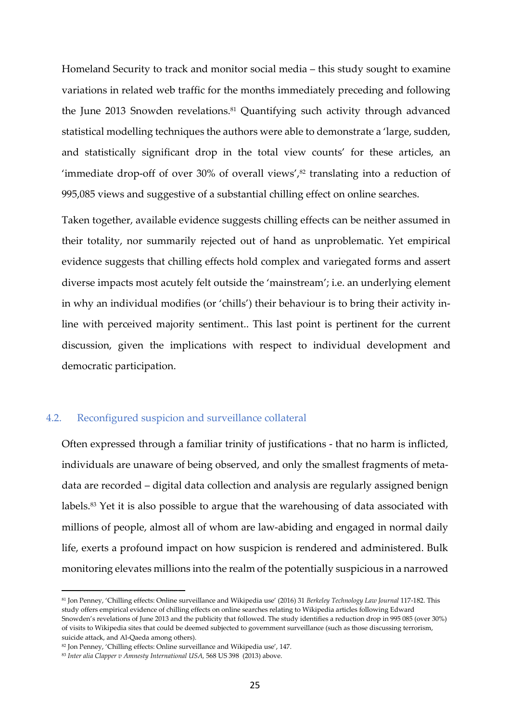Homeland Security to track and monitor social media – this study sought to examine variations in related web traffic for the months immediately preceding and following the June 2013 Snowden revelations.<sup>81</sup> Quantifying such activity through advanced statistical modelling techniques the authors were able to demonstrate a 'large, sudden, and statistically significant drop in the total view counts' for these articles, an 'immediate drop-off of over  $30\%$  of overall views', $82$  translating into a reduction of 995,085 views and suggestive of a substantial chilling effect on online searches.

Taken together, available evidence suggests chilling effects can be neither assumed in their totality, nor summarily rejected out of hand as unproblematic. Yet empirical evidence suggests that chilling effects hold complex and variegated forms and assert diverse impacts most acutely felt outside the 'mainstream'; i.e. an underlying element in why an individual modifies (or 'chills') their behaviour is to bring their activity inline with perceived majority sentiment.. This last point is pertinent for the current discussion, given the implications with respect to individual development and democratic participation.

## 4.2. Reconfigured suspicion and surveillance collateral

Often expressed through a familiar trinity of justifications - that no harm is inflicted, individuals are unaware of being observed, and only the smallest fragments of metadata are recorded – digital data collection and analysis are regularly assigned benign labels.<sup>83</sup> Yet it is also possible to argue that the warehousing of data associated with millions of people, almost all of whom are law-abiding and engaged in normal daily life, exerts a profound impact on how suspicion is rendered and administered. Bulk monitoring elevates millions into the realm of the potentially suspicious in a narrowed

<sup>81</sup> Jon Penney, 'Chilling effects: Online surveillance and Wikipedia use' (2016) 31 *Berkeley Technology Law Journal* 117-182. This study offers empirical evidence of chilling effects on online searches relating to Wikipedia articles following Edward Snowden's revelations of June 2013 and the publicity that followed. The study identifies a reduction drop in 995 085 (over 30%) of visits to Wikipedia sites that could be deemed subjected to government surveillance (such as those discussing terrorism, suicide attack, and Al-Qaeda among others).

<sup>82</sup> Jon Penney, 'Chilling effects: Online surveillance and Wikipedia use', 147.

<sup>83</sup> *Inter alia Clapper v Amnesty International USA,* 568 US 398 (2013) above.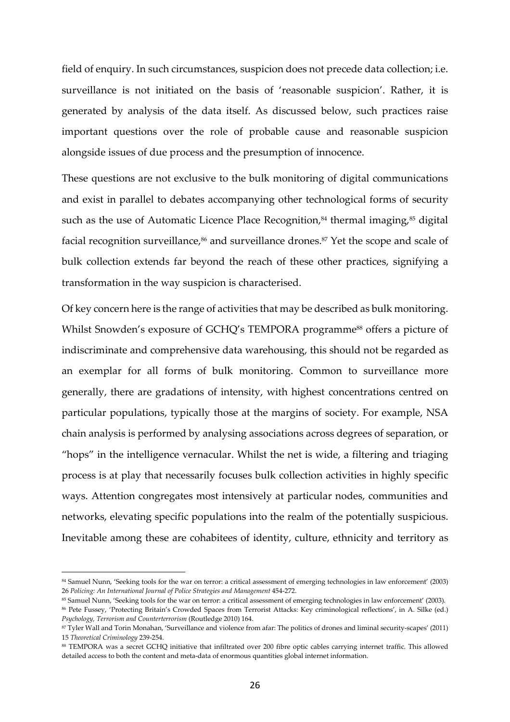field of enquiry. In such circumstances, suspicion does not precede data collection; i.e. surveillance is not initiated on the basis of 'reasonable suspicion'. Rather, it is generated by analysis of the data itself. As discussed below, such practices raise important questions over the role of probable cause and reasonable suspicion alongside issues of due process and the presumption of innocence.

These questions are not exclusive to the bulk monitoring of digital communications and exist in parallel to debates accompanying other technological forms of security such as the use of Automatic Licence Place Recognition, $84$  thermal imaging, $85$  digital facial recognition surveillance,<sup>86</sup> and surveillance drones.<sup>87</sup> Yet the scope and scale of bulk collection extends far beyond the reach of these other practices, signifying a transformation in the way suspicion is characterised.

Of key concern here is the range of activities that may be described as bulk monitoring. Whilst Snowden's exposure of GCHQ's TEMPORA programme<sup>88</sup> offers a picture of indiscriminate and comprehensive data warehousing, this should not be regarded as an exemplar for all forms of bulk monitoring. Common to surveillance more generally, there are gradations of intensity, with highest concentrations centred on particular populations, typically those at the margins of society. For example, NSA chain analysis is performed by analysing associations across degrees of separation, or "hops" in the intelligence vernacular. Whilst the net is wide, a filtering and triaging process is at play that necessarily focuses bulk collection activities in highly specific ways. Attention congregates most intensively at particular nodes, communities and networks, elevating specific populations into the realm of the potentially suspicious. Inevitable among these are cohabitees of identity, culture, ethnicity and territory as

<sup>84</sup> Samuel Nunn, 'Seeking tools for the war on terror: a critical assessment of emerging technologies in law enforcement' (2003) 26 *Policing: An International Journal of Police Strategies and Management* 454-272.

<sup>85</sup> Samuel Nunn, 'Seeking tools for the war on terror: a critical assessment of emerging technologies in law enforcement' (2003).

<sup>86</sup> Pete Fussey, 'Protecting Britain's Crowded Spaces from Terrorist Attacks: Key criminological reflections', in A. Silke (ed.) *Psychology, Terrorism and Counterterrorism* (Routledge 2010) 164.

<sup>87</sup> Tyler Wall and Torin Monahan, 'Surveillance and violence from afar: The politics of drones and liminal security-scapes' (2011) 15 *Theoretical Criminology* 239-254.

<sup>88</sup> TEMPORA was a secret GCHQ initiative that infiltrated over 200 fibre optic cables carrying internet traffic. This allowed detailed access to both the content and meta-data of enormous quantities global internet information.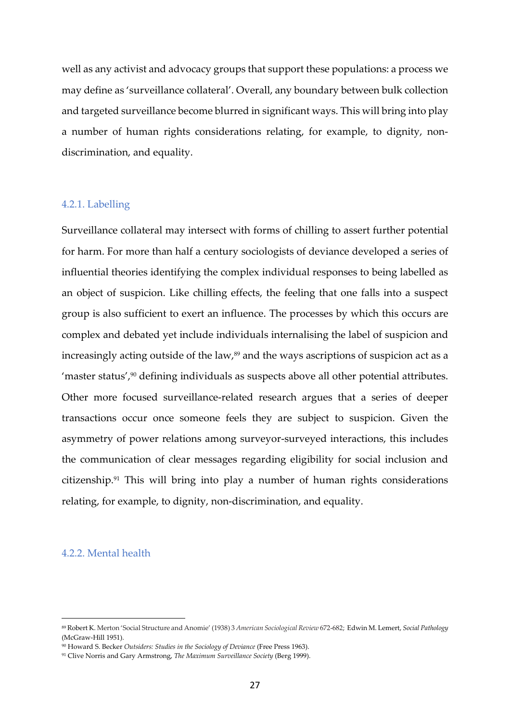well as any activist and advocacy groups that support these populations: a process we may define as 'surveillance collateral'. Overall, any boundary between bulk collection and targeted surveillance become blurred in significant ways. This will bring into play a number of human rights considerations relating, for example, to dignity, nondiscrimination, and equality.

### 4.2.1. Labelling

Surveillance collateral may intersect with forms of chilling to assert further potential for harm. For more than half a century sociologists of deviance developed a series of influential theories identifying the complex individual responses to being labelled as an object of suspicion. Like chilling effects, the feeling that one falls into a suspect group is also sufficient to exert an influence. The processes by which this occurs are complex and debated yet include individuals internalising the label of suspicion and increasingly acting outside of the law,<sup>89</sup> and the ways ascriptions of suspicion act as a 'master status',<sup>90</sup> defining individuals as suspects above all other potential attributes. Other more focused surveillance-related research argues that a series of deeper transactions occur once someone feels they are subject to suspicion. Given the asymmetry of power relations among surveyor-surveyed interactions, this includes the communication of clear messages regarding eligibility for social inclusion and citizenship.91 This will bring into play a number of human rights considerations relating, for example, to dignity, non-discrimination, and equality.

### 4.2.2. Mental health

<sup>89</sup> Robert K. Merton 'Social Structure and Anomie' (1938) 3 *American Sociological Review* 672-682; Edwin M. Lemert, *Social Pathology*  (McGraw-Hill 1951).

<sup>90</sup> Howard S. Becker *Outsiders: Studies in the Sociology of Deviance* (Free Press 1963).

<sup>91</sup> Clive Norris and Gary Armstrong, *The Maximum Surveillance Society* (Berg 1999).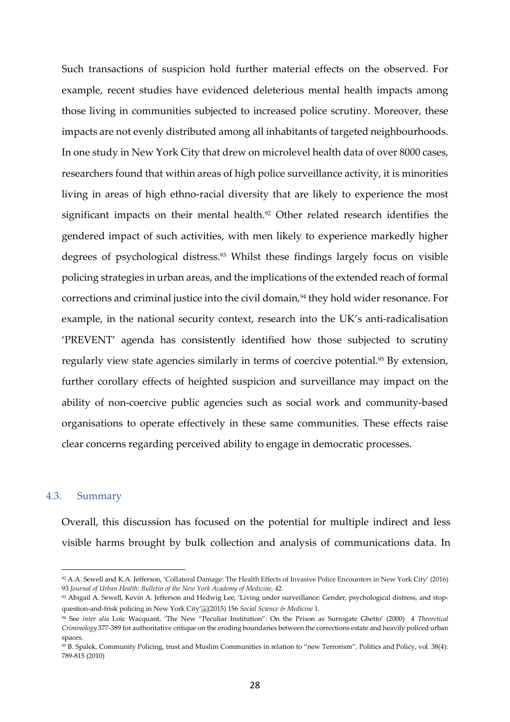Such transactions of suspicion hold further material effects on the observed. For example, recent studies have evidenced deleterious mental health impacts among those living in communities subjected to increased police scrutiny. Moreover, these impacts are not evenly distributed among all inhabitants of targeted neighbourhoods. In one study in New York City that drew on microlevel health data of over 8000 cases, researchers found that within areas of high police surveillance activity, it is minorities living in areas of high ethno-racial diversity that are likely to experience the most significant impacts on their mental health.<sup>92</sup> Other related research identifies the gendered impact of such activities, with men likely to experience markedly higher degrees of psychological distress.93 Whilst these findings largely focus on visible policing strategies in urban areas, and the implications of the extended reach of formal corrections and criminal justice into the civil domain,<sup>94</sup> they hold wider resonance. For example, in the national security context, research into the UK's anti-radicalisation 'PREVENT' agenda has consistently identified how those subjected to scrutiny regularly view state agencies similarly in terms of coercive potential.<sup>95</sup> By extension, further corollary effects of heighted suspicion and surveillance may impact on the ability of non-coercive public agencies such as social work and community-based organisations to operate effectively in these same communities. These effects raise clear concerns regarding perceived ability to engage in democratic processes.

#### 4.3. Summary

 $\overline{a}$ 

Overall, this discussion has focused on the potential for multiple indirect and less visible harms brought by bulk collection and analysis of communications data. In

<sup>92</sup> A.A. Sewell and K.A. Jefferson, 'Collateral Damage: The Health Effects of Invasive Police Encounters in New York City' (2016) 93 *Journal of Urban Health: Bulletin of the New York Academy of Medicine,* 42.

<sup>93</sup> Abigail A. Sewell, Kevin A. Jefferson and Hedwig Lee, 'Living under surveillance: Gender, psychological distress, and stopquestion-and-frisk policing in New York City' (2015) 156 *Social Science & Medicine* 1.

<sup>94</sup> See *inter alia* Loic Wacquant, 'The New "Peculiar Institution": On the Prison as Surrogate Ghetto' (2000) 4 *Theoretical Criminology* 377-389 for authoritative critique on the eroding boundaries between the corrections estate and heavily policed urban spaces.

<sup>95</sup> B. Spalek, Community Policing, trust and Muslim Communities in relation to "new Terrorism", Politics and Policy, vol. 38(4): 789-815 (2010)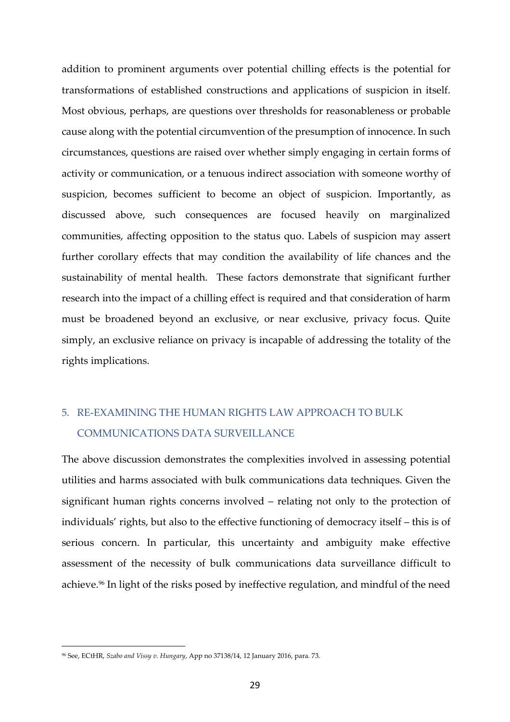addition to prominent arguments over potential chilling effects is the potential for transformations of established constructions and applications of suspicion in itself. Most obvious, perhaps, are questions over thresholds for reasonableness or probable cause along with the potential circumvention of the presumption of innocence. In such circumstances, questions are raised over whether simply engaging in certain forms of activity or communication, or a tenuous indirect association with someone worthy of suspicion, becomes sufficient to become an object of suspicion. Importantly, as discussed above, such consequences are focused heavily on marginalized communities, affecting opposition to the status quo. Labels of suspicion may assert further corollary effects that may condition the availability of life chances and the sustainability of mental health. These factors demonstrate that significant further research into the impact of a chilling effect is required and that consideration of harm must be broadened beyond an exclusive, or near exclusive, privacy focus. Quite simply, an exclusive reliance on privacy is incapable of addressing the totality of the rights implications.

# 5. RE-EXAMINING THE HUMAN RIGHTS LAW APPROACH TO BULK COMMUNICATIONS DATA SURVEILLANCE

The above discussion demonstrates the complexities involved in assessing potential utilities and harms associated with bulk communications data techniques. Given the significant human rights concerns involved – relating not only to the protection of individuals' rights, but also to the effective functioning of democracy itself – this is of serious concern. In particular, this uncertainty and ambiguity make effective assessment of the necessity of bulk communications data surveillance difficult to achieve.96 In light of the risks posed by ineffective regulation, and mindful of the need

<sup>96</sup> See, ECtHR, *Szabo and Vissy v. Hungary*, App no 37138/14, 12 January 2016, para. 73.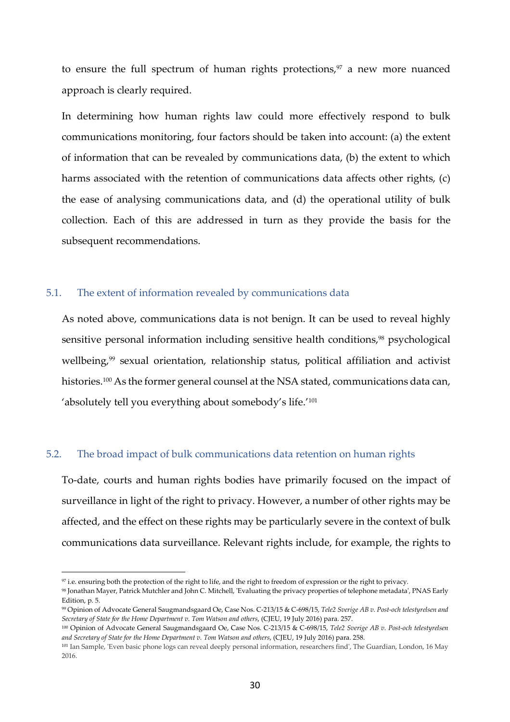to ensure the full spectrum of human rights protections, $97$  a new more nuanced approach is clearly required.

In determining how human rights law could more effectively respond to bulk communications monitoring, four factors should be taken into account: (a) the extent of information that can be revealed by communications data, (b) the extent to which harms associated with the retention of communications data affects other rights, (c) the ease of analysing communications data, and (d) the operational utility of bulk collection. Each of this are addressed in turn as they provide the basis for the subsequent recommendations.

### 5.1. The extent of information revealed by communications data

As noted above, communications data is not benign. It can be used to reveal highly sensitive personal information including sensitive health conditions,<sup>98</sup> psychological wellbeing,<sup>99</sup> sexual orientation, relationship status, political affiliation and activist histories.<sup>100</sup> As the former general counsel at the NSA stated, communications data can, 'absolutely tell you everything about somebody's life.'<sup>101</sup>

#### 5.2. The broad impact of bulk communications data retention on human rights

To-date, courts and human rights bodies have primarily focused on the impact of surveillance in light of the right to privacy. However, a number of other rights may be affected, and the effect on these rights may be particularly severe in the context of bulk communications data surveillance. Relevant rights include, for example, the rights to

<sup>97</sup> i.e. ensuring both the protection of the right to life, and the right to freedom of expression or the right to privacy.

<sup>98</sup> Jonathan Mayer, Patrick Mutchler and John C. Mitchell, 'Evaluating the privacy properties of telephone metadata', PNAS Early Edition, p. 5.

<sup>99</sup> Opinion of Advocate General Saugmandsgaard Oe, Case Nos. C-213/15 & C-698/15, *Tele2 Sverige AB v. Post-och telestyrelsen and Secretary of State for the Home Department v. Tom Watson and others*, (CJEU, 19 July 2016) para. 257.

<sup>100</sup> Opinion of Advocate General Saugmandsgaard Oe, Case Nos. C-213/15 & C-698/15, *Tele2 Sverige AB v. Post-och telestyrelsen and Secretary of State for the Home Department v. Tom Watson and others*, (CJEU, 19 July 2016) para. 258.

<sup>101</sup> Ian Sample, 'Even basic phone logs can reveal deeply personal information, researchers find', The Guardian, London, 16 May 2016.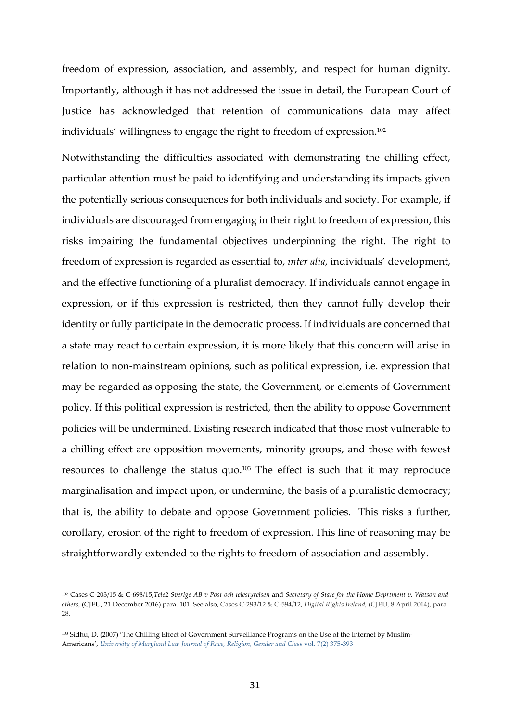freedom of expression, association, and assembly, and respect for human dignity. Importantly, although it has not addressed the issue in detail, the European Court of Justice has acknowledged that retention of communications data may affect individuals' willingness to engage the right to freedom of expression. $^{102}$ 

Notwithstanding the difficulties associated with demonstrating the chilling effect, particular attention must be paid to identifying and understanding its impacts given the potentially serious consequences for both individuals and society. For example, if individuals are discouraged from engaging in their right to freedom of expression, this risks impairing the fundamental objectives underpinning the right. The right to freedom of expression is regarded as essential to, *inter alia*, individuals' development, and the effective functioning of a pluralist democracy. If individuals cannot engage in expression, or if this expression is restricted, then they cannot fully develop their identity or fully participate in the democratic process. If individuals are concerned that a state may react to certain expression, it is more likely that this concern will arise in relation to non-mainstream opinions, such as political expression, i.e. expression that may be regarded as opposing the state, the Government, or elements of Government policy. If this political expression is restricted, then the ability to oppose Government policies will be undermined. Existing research indicated that those most vulnerable to a chilling effect are opposition movements, minority groups, and those with fewest resources to challenge the status quo.103 The effect is such that it may reproduce marginalisation and impact upon, or undermine, the basis of a pluralistic democracy; that is, the ability to debate and oppose Government policies. This risks a further, corollary, erosion of the right to freedom of expression. This line of reasoning may be straightforwardly extended to the rights to freedom of association and assembly.

<sup>102</sup> Cases C-203/15 & C-698/15,*Tele2 Sverige AB v Post-och telestyrelsen* and *Secretary of State for the Home Deprtment v. Watson and others*, (CJEU, 21 December 2016) para. 101. See also, Cases C-293/12 & C-594/12, *Digital Rights Ireland*, (CJEU, 8 April 2014), para. 28.

<sup>103</sup> Sidhu, D. (2007) 'The Chilling Effect of Government Surveillance Programs on the Use of the Internet by Muslim-Americans', *University of Maryland Law Journal of Race, Religion, Gender and Class* vol. 7(2) 375-393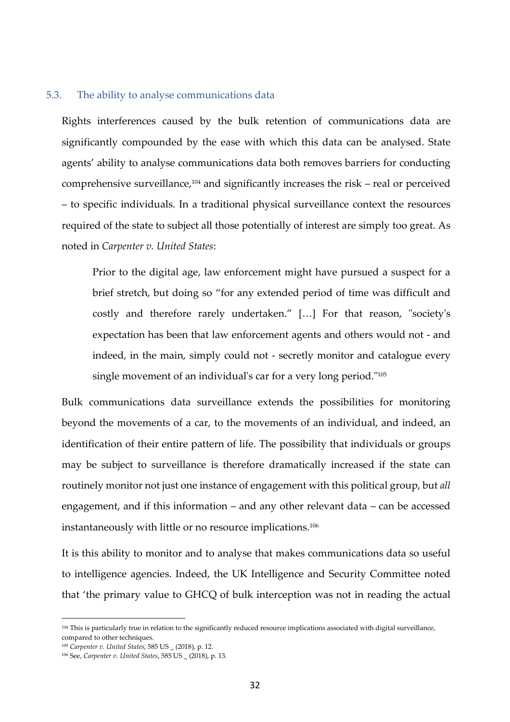#### 5.3. The ability to analyse communications data

Rights interferences caused by the bulk retention of communications data are significantly compounded by the ease with which this data can be analysed. State agents' ability to analyse communications data both removes barriers for conducting comprehensive surveillance, $104$  and significantly increases the risk – real or perceived – to specific individuals. In a traditional physical surveillance context the resources required of the state to subject all those potentially of interest are simply too great. As noted in *Carpenter v. United States*:

Prior to the digital age, law enforcement might have pursued a suspect for a brief stretch, but doing so "for any extended period of time was difficult and costly and therefore rarely undertaken." […] For that reason, "society's expectation has been that law enforcement agents and others would not - and indeed, in the main, simply could not - secretly monitor and catalogue every single movement of an individual's car for a very long period."<sup>105</sup>

Bulk communications data surveillance extends the possibilities for monitoring beyond the movements of a car, to the movements of an individual, and indeed, an identification of their entire pattern of life. The possibility that individuals or groups may be subject to surveillance is therefore dramatically increased if the state can routinely monitor not just one instance of engagement with this political group, but *all*  engagement, and if this information – and any other relevant data – can be accessed instantaneously with little or no resource implications. $^{106}$ 

It is this ability to monitor and to analyse that makes communications data so useful to intelligence agencies. Indeed, the UK Intelligence and Security Committee noted that 'the primary value to GHCQ of bulk interception was not in reading the actual

<sup>104</sup> This is particularly true in relation to the significantly reduced resource implications associated with digital surveillance, compared to other techniques.

<sup>105</sup> *Carpenter v. United States*, 585 US \_ (2018), p. 12.

<sup>106</sup> See, *Carpenter v. United States*, 585 US \_ (2018), p. 13.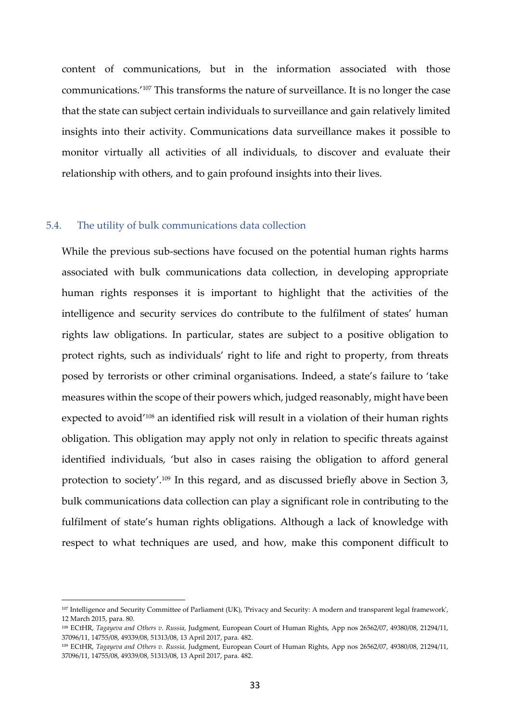content of communications, but in the information associated with those communications.'107 This transforms the nature of surveillance. It is no longer the case that the state can subject certain individuals to surveillance and gain relatively limited insights into their activity. Communications data surveillance makes it possible to monitor virtually all activities of all individuals, to discover and evaluate their relationship with others, and to gain profound insights into their lives.

### 5.4. The utility of bulk communications data collection

 $\overline{a}$ 

While the previous sub-sections have focused on the potential human rights harms associated with bulk communications data collection, in developing appropriate human rights responses it is important to highlight that the activities of the intelligence and security services do contribute to the fulfilment of states' human rights law obligations. In particular, states are subject to a positive obligation to protect rights, such as individuals' right to life and right to property, from threats posed by terrorists or other criminal organisations. Indeed, a state's failure to 'take measures within the scope of their powers which, judged reasonably, might have been expected to avoid'108 an identified risk will result in a violation of their human rights obligation. This obligation may apply not only in relation to specific threats against identified individuals, 'but also in cases raising the obligation to afford general protection to society'.<sup>109</sup> In this regard, and as discussed briefly above in Section 3, bulk communications data collection can play a significant role in contributing to the fulfilment of state's human rights obligations. Although a lack of knowledge with respect to what techniques are used, and how, make this component difficult to

<sup>107</sup> Intelligence and Security Committee of Parliament (UK), 'Privacy and Security: A modern and transparent legal framework', 12 March 2015, para. 80.

<sup>108</sup> ECtHR, *Tagayeva and Others v. Russia,* Judgment, European Court of Human Rights, App nos 26562/07, 49380/08, 21294/11, 37096/11, 14755/08, 49339/08, 51313/08, 13 April 2017, para. 482.

<sup>109</sup> ECtHR, *Tagayeva and Others v. Russia,* Judgment, European Court of Human Rights, App nos 26562/07, 49380/08, 21294/11, 37096/11, 14755/08, 49339/08, 51313/08, 13 April 2017, para. 482.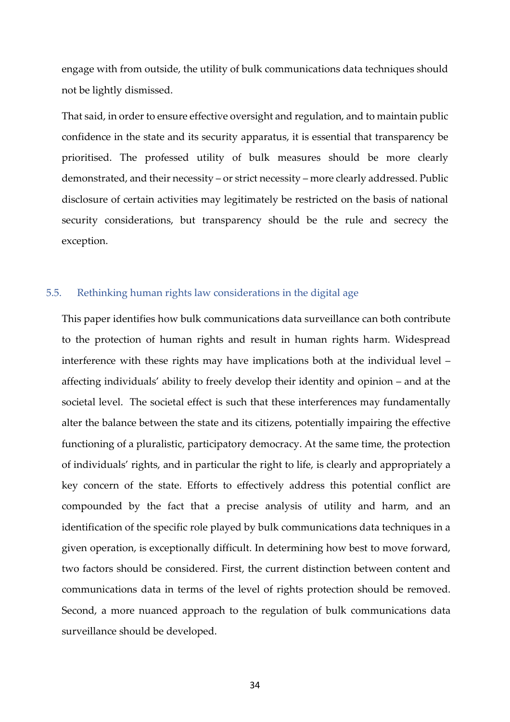engage with from outside, the utility of bulk communications data techniques should not be lightly dismissed.

That said, in order to ensure effective oversight and regulation, and to maintain public confidence in the state and its security apparatus, it is essential that transparency be prioritised. The professed utility of bulk measures should be more clearly demonstrated, and their necessity – or strict necessity – more clearly addressed. Public disclosure of certain activities may legitimately be restricted on the basis of national security considerations, but transparency should be the rule and secrecy the exception.

### 5.5. Rethinking human rights law considerations in the digital age

This paper identifies how bulk communications data surveillance can both contribute to the protection of human rights and result in human rights harm. Widespread interference with these rights may have implications both at the individual level – affecting individuals' ability to freely develop their identity and opinion – and at the societal level. The societal effect is such that these interferences may fundamentally alter the balance between the state and its citizens, potentially impairing the effective functioning of a pluralistic, participatory democracy. At the same time, the protection of individuals' rights, and in particular the right to life, is clearly and appropriately a key concern of the state. Efforts to effectively address this potential conflict are compounded by the fact that a precise analysis of utility and harm, and an identification of the specific role played by bulk communications data techniques in a given operation, is exceptionally difficult. In determining how best to move forward, two factors should be considered. First, the current distinction between content and communications data in terms of the level of rights protection should be removed. Second, a more nuanced approach to the regulation of bulk communications data surveillance should be developed.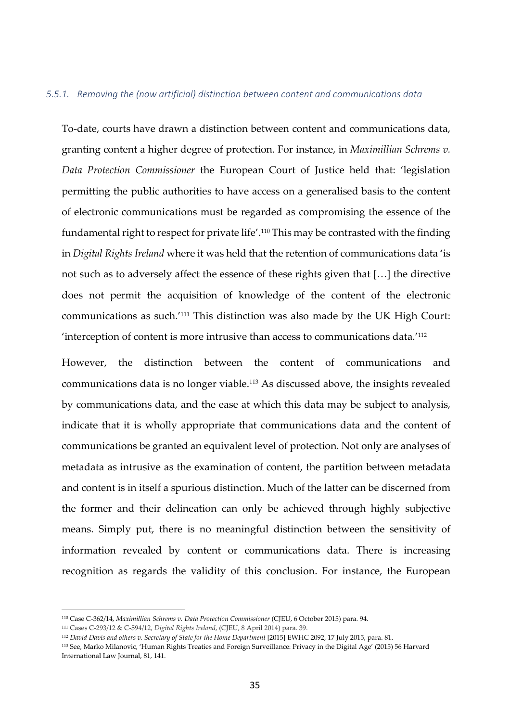#### *5.5.1. Removing the (now artificial) distinction between content and communications data*

To-date, courts have drawn a distinction between content and communications data, granting content a higher degree of protection. For instance, in *Maximillian Schrems v. Data Protection Commissioner* the European Court of Justice held that: 'legislation permitting the public authorities to have access on a generalised basis to the content of electronic communications must be regarded as compromising the essence of the fundamental right to respect for private life'.110 This may be contrasted with the finding in *Digital Rights Ireland* where it was held that the retention of communications data 'is not such as to adversely affect the essence of these rights given that […] the directive does not permit the acquisition of knowledge of the content of the electronic communications as such.'111 This distinction was also made by the UK High Court: 'interception of content is more intrusive than access to communications data.'<sup>112</sup>

However, the distinction between the content of communications and communications data is no longer viable.113 As discussed above, the insights revealed by communications data, and the ease at which this data may be subject to analysis, indicate that it is wholly appropriate that communications data and the content of communications be granted an equivalent level of protection. Not only are analyses of metadata as intrusive as the examination of content, the partition between metadata and content is in itself a spurious distinction. Much of the latter can be discerned from the former and their delineation can only be achieved through highly subjective means. Simply put, there is no meaningful distinction between the sensitivity of information revealed by content or communications data. There is increasing recognition as regards the validity of this conclusion. For instance, the European

<sup>110</sup> Case C-362/14, *Maximillian Schrems v. Data Protection Commissioner* (CJEU, 6 October 2015) para. 94.

<sup>111</sup> Cases C-293/12 & C-594/12, *Digital Rights Ireland*, (CJEU, 8 April 2014) para. 39.

<sup>112</sup> *David Davis and others v. Secretary of State for the Home Department* [2015] EWHC 2092, 17 July 2015, para. 81.

<sup>113</sup> See, Marko Milanovic, 'Human Rights Treaties and Foreign Surveillance: Privacy in the Digital Age' (2015) 56 Harvard International Law Journal, 81, 141.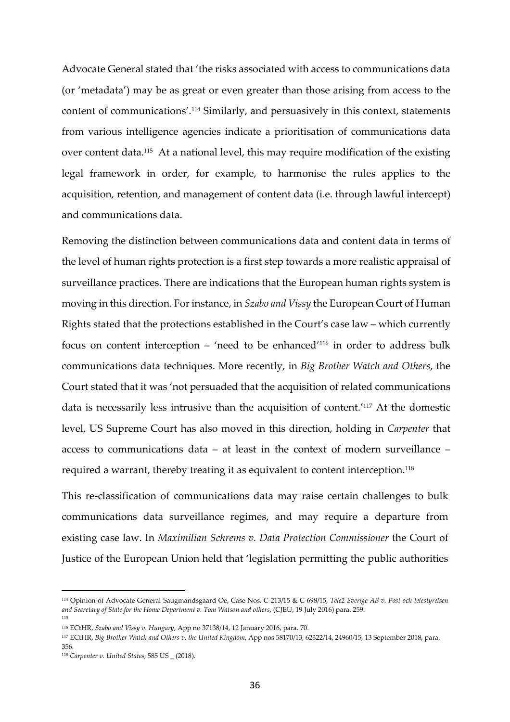Advocate General stated that 'the risks associated with access to communications data (or 'metadata') may be as great or even greater than those arising from access to the content of communications'.114 Similarly, and persuasively in this context, statements from various intelligence agencies indicate a prioritisation of communications data over content data.115 At a national level, this may require modification of the existing legal framework in order, for example, to harmonise the rules applies to the acquisition, retention, and management of content data (i.e. through lawful intercept) and communications data.

Removing the distinction between communications data and content data in terms of the level of human rights protection is a first step towards a more realistic appraisal of surveillance practices. There are indications that the European human rights system is moving in this direction. For instance, in *Szabo and Vissy* the European Court of Human Rights stated that the protections established in the Court's case law – which currently focus on content interception – 'need to be enhanced'116 in order to address bulk communications data techniques. More recently, in *Big Brother Watch and Others*, the Court stated that it was 'not persuaded that the acquisition of related communications data is necessarily less intrusive than the acquisition of content.'117 At the domestic level, US Supreme Court has also moved in this direction, holding in *Carpenter* that access to communications data – at least in the context of modern surveillance – required a warrant, thereby treating it as equivalent to content interception.<sup>118</sup>

This re-classification of communications data may raise certain challenges to bulk communications data surveillance regimes, and may require a departure from existing case law. In *Maximilian Schrems v. Data Protection Commissioner* the Court of Justice of the European Union held that 'legislation permitting the public authorities

<sup>114</sup> Opinion of Advocate General Saugmandsgaard Oe, Case Nos. C-213/15 & C-698/15, *Tele2 Sverige AB v. Post-och telestyrelsen and Secretary of State for the Home Department v. Tom Watson and others*, (CJEU, 19 July 2016) para. 259. 115

<sup>116</sup> ECtHR, *Szabo and Vissy v. Hungary*, App no 37138/14, 12 January 2016, para. 70.

<sup>117</sup> ECtHR, *Big Brother Watch and Others v. the United Kingdom*, App nos 58170/13, 62322/14, 24960/15, 13 September 2018, para. 356.

<sup>118</sup> *Carpenter v. United States*, 585 US \_ (2018).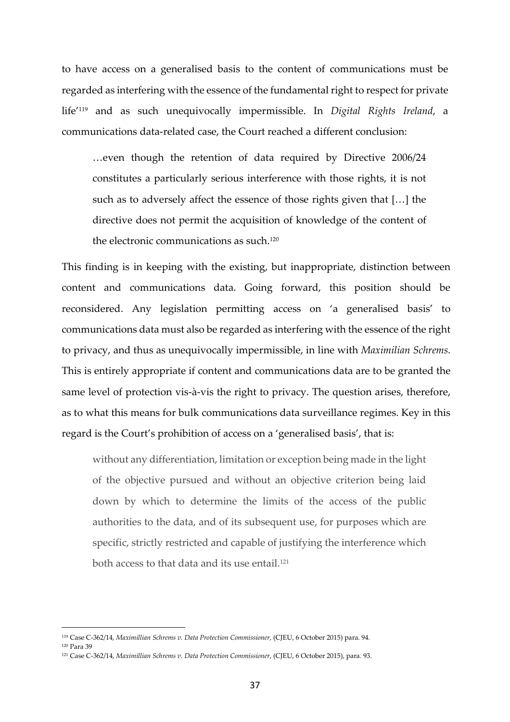to have access on a generalised basis to the content of communications must be regarded as interfering with the essence of the fundamental right to respect for private life'119 and as such unequivocally impermissible. In *Digital Rights Ireland*, a communications data-related case, the Court reached a different conclusion:

…even though the retention of data required by Directive 2006/24 constitutes a particularly serious interference with those rights, it is not such as to adversely affect the essence of those rights given that […] the directive does not permit the acquisition of knowledge of the content of the electronic communications as such.<sup>120</sup>

This finding is in keeping with the existing, but inappropriate, distinction between content and communications data. Going forward, this position should be reconsidered. Any legislation permitting access on 'a generalised basis' to communications data must also be regarded as interfering with the essence of the right to privacy, and thus as unequivocally impermissible, in line with *Maximilian Schrems*. This is entirely appropriate if content and communications data are to be granted the same level of protection vis-à-vis the right to privacy. The question arises, therefore, as to what this means for bulk communications data surveillance regimes. Key in this regard is the Court's prohibition of access on a 'generalised basis', that is:

without any differentiation, limitation or exception being made in the light of the objective pursued and without an objective criterion being laid down by which to determine the limits of the access of the public authorities to the data, and of its subsequent use, for purposes which are specific, strictly restricted and capable of justifying the interference which both access to that data and its use entail.<sup>121</sup>

<sup>119</sup> Case C-362/14, *Maximillian Schrems v. Data Protection Commissioner*, (CJEU, 6 October 2015) para. 94. <sup>120</sup> Para 39

<sup>121</sup> Case C-362/14, *Maximillian Schrems v. Data Protection Commissioner*, (CJEU, 6 October 2015), para. 93.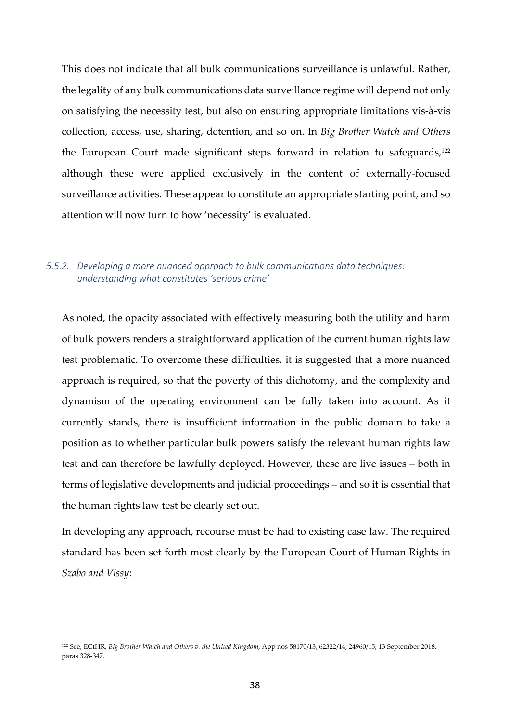This does not indicate that all bulk communications surveillance is unlawful. Rather, the legality of any bulk communications data surveillance regime will depend not only on satisfying the necessity test, but also on ensuring appropriate limitations vis-à-vis collection, access, use, sharing, detention, and so on. In *Big Brother Watch and Others* the European Court made significant steps forward in relation to safeguards,<sup>122</sup> although these were applied exclusively in the content of externally-focused surveillance activities. These appear to constitute an appropriate starting point, and so attention will now turn to how 'necessity' is evaluated.

## *5.5.2. Developing a more nuanced approach to bulk communications data techniques: understanding what constitutes 'serious crime'*

As noted, the opacity associated with effectively measuring both the utility and harm of bulk powers renders a straightforward application of the current human rights law test problematic. To overcome these difficulties, it is suggested that a more nuanced approach is required, so that the poverty of this dichotomy, and the complexity and dynamism of the operating environment can be fully taken into account. As it currently stands, there is insufficient information in the public domain to take a position as to whether particular bulk powers satisfy the relevant human rights law test and can therefore be lawfully deployed. However, these are live issues – both in terms of legislative developments and judicial proceedings – and so it is essential that the human rights law test be clearly set out.

In developing any approach, recourse must be had to existing case law. The required standard has been set forth most clearly by the European Court of Human Rights in *Szabo and Vissy*:

<sup>122</sup> See, ECtHR, *Big Brother Watch and Others v. the United Kingdom*, App nos 58170/13, 62322/14, 24960/15, 13 September 2018, paras 328-347.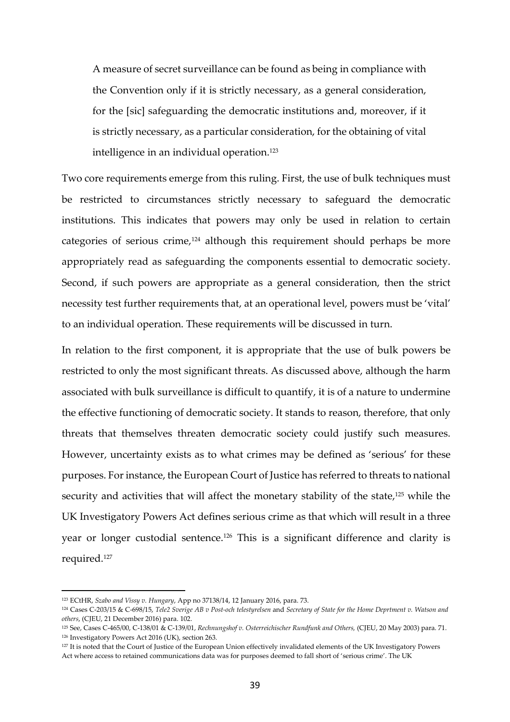A measure of secret surveillance can be found as being in compliance with the Convention only if it is strictly necessary, as a general consideration, for the [sic] safeguarding the democratic institutions and, moreover, if it is strictly necessary, as a particular consideration, for the obtaining of vital intelligence in an individual operation.<sup>123</sup>

Two core requirements emerge from this ruling. First, the use of bulk techniques must be restricted to circumstances strictly necessary to safeguard the democratic institutions. This indicates that powers may only be used in relation to certain categories of serious crime,<sup>124</sup> although this requirement should perhaps be more appropriately read as safeguarding the components essential to democratic society. Second, if such powers are appropriate as a general consideration, then the strict necessity test further requirements that, at an operational level, powers must be 'vital' to an individual operation. These requirements will be discussed in turn.

In relation to the first component, it is appropriate that the use of bulk powers be restricted to only the most significant threats. As discussed above, although the harm associated with bulk surveillance is difficult to quantify, it is of a nature to undermine the effective functioning of democratic society. It stands to reason, therefore, that only threats that themselves threaten democratic society could justify such measures. However, uncertainty exists as to what crimes may be defined as 'serious' for these purposes. For instance, the European Court of Justice has referred to threats to national security and activities that will affect the monetary stability of the state,<sup>125</sup> while the UK Investigatory Powers Act defines serious crime as that which will result in a three year or longer custodial sentence.126 This is a significant difference and clarity is required.<sup>127</sup>

<sup>123</sup> ECtHR, *Szabo and Vissy v. Hungary*, App no 37138/14, 12 January 2016, para. 73.

<sup>124</sup> Cases C-203/15 & C-698/15, *Tele2 Sverige AB v Post-och telestyrelsen* and *Secretary of State for the Home Deprtment v. Watson and others*, (CJEU, 21 December 2016) para. 102.

<sup>125</sup> See, Cases C-465/00, C-138/01 & C-139/01, *Rechnungshof v. Osterreichischer Rundfunk and Others,* (CJEU, 20 May 2003) para. 71. <sup>126</sup> Investigatory Powers Act 2016 (UK), section 263.

<sup>&</sup>lt;sup>127</sup> It is noted that the Court of Justice of the European Union effectively invalidated elements of the UK Investigatory Powers Act where access to retained communications data was for purposes deemed to fall short of 'serious crime'. The UK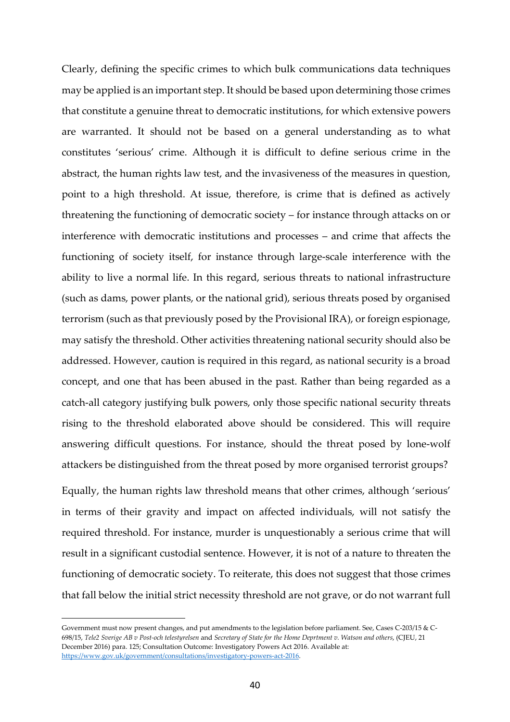Clearly, defining the specific crimes to which bulk communications data techniques may be applied is an important step. It should be based upon determining those crimes that constitute a genuine threat to democratic institutions, for which extensive powers are warranted. It should not be based on a general understanding as to what constitutes 'serious' crime. Although it is difficult to define serious crime in the abstract, the human rights law test, and the invasiveness of the measures in question, point to a high threshold. At issue, therefore, is crime that is defined as actively threatening the functioning of democratic society – for instance through attacks on or interference with democratic institutions and processes – and crime that affects the functioning of society itself, for instance through large-scale interference with the ability to live a normal life. In this regard, serious threats to national infrastructure (such as dams, power plants, or the national grid), serious threats posed by organised terrorism (such as that previously posed by the Provisional IRA), or foreign espionage, may satisfy the threshold. Other activities threatening national security should also be addressed. However, caution is required in this regard, as national security is a broad concept, and one that has been abused in the past. Rather than being regarded as a catch-all category justifying bulk powers, only those specific national security threats rising to the threshold elaborated above should be considered. This will require answering difficult questions. For instance, should the threat posed by lone-wolf attackers be distinguished from the threat posed by more organised terrorist groups?

Equally, the human rights law threshold means that other crimes, although 'serious' in terms of their gravity and impact on affected individuals, will not satisfy the required threshold. For instance, murder is unquestionably a serious crime that will result in a significant custodial sentence. However, it is not of a nature to threaten the functioning of democratic society. To reiterate, this does not suggest that those crimes that fall below the initial strict necessity threshold are not grave, or do not warrant full

Government must now present changes, and put amendments to the legislation before parliament. See, Cases C-203/15 & C-698/15, *Tele2 Sverige AB v Post-och telestyrelsen* and *Secretary of State for the Home Deprtment v. Watson and others*, (CJEU, 21 December 2016) para. 125; Consultation Outcome: Investigatory Powers Act 2016. Available at: https://www.gov.uk/government/consultations/investigatory-powers-act-2016.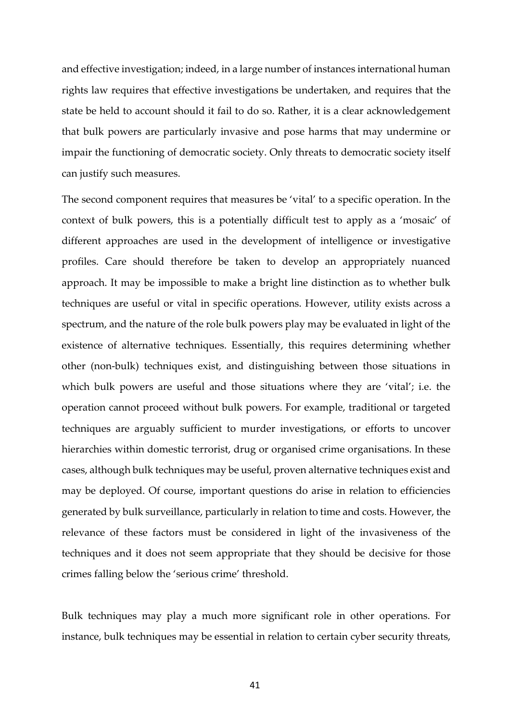and effective investigation; indeed, in a large number of instances international human rights law requires that effective investigations be undertaken, and requires that the state be held to account should it fail to do so. Rather, it is a clear acknowledgement that bulk powers are particularly invasive and pose harms that may undermine or impair the functioning of democratic society. Only threats to democratic society itself can justify such measures.

The second component requires that measures be 'vital' to a specific operation. In the context of bulk powers, this is a potentially difficult test to apply as a 'mosaic' of different approaches are used in the development of intelligence or investigative profiles. Care should therefore be taken to develop an appropriately nuanced approach. It may be impossible to make a bright line distinction as to whether bulk techniques are useful or vital in specific operations. However, utility exists across a spectrum, and the nature of the role bulk powers play may be evaluated in light of the existence of alternative techniques. Essentially, this requires determining whether other (non-bulk) techniques exist, and distinguishing between those situations in which bulk powers are useful and those situations where they are 'vital'; i.e. the operation cannot proceed without bulk powers. For example, traditional or targeted techniques are arguably sufficient to murder investigations, or efforts to uncover hierarchies within domestic terrorist, drug or organised crime organisations. In these cases, although bulk techniques may be useful, proven alternative techniques exist and may be deployed. Of course, important questions do arise in relation to efficiencies generated by bulk surveillance, particularly in relation to time and costs. However, the relevance of these factors must be considered in light of the invasiveness of the techniques and it does not seem appropriate that they should be decisive for those crimes falling below the 'serious crime' threshold.

Bulk techniques may play a much more significant role in other operations. For instance, bulk techniques may be essential in relation to certain cyber security threats,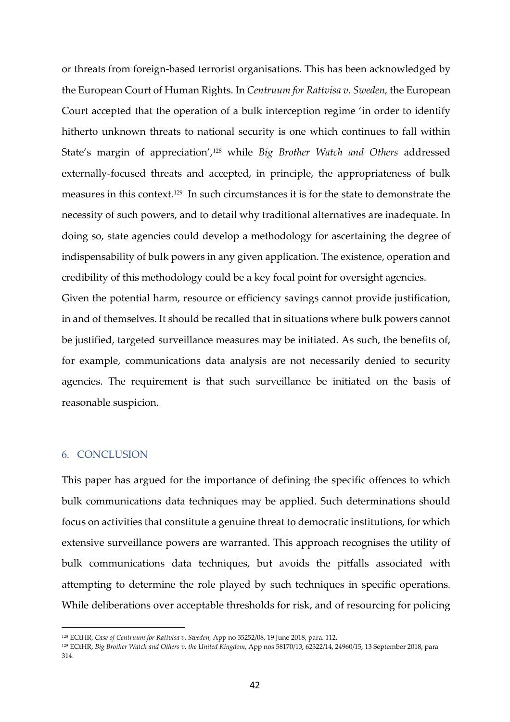or threats from foreign-based terrorist organisations. This has been acknowledged by the European Court of Human Rights. In *Centruum for Rattvisa v. Sweden,* the European Court accepted that the operation of a bulk interception regime 'in order to identify hitherto unknown threats to national security is one which continues to fall within State's margin of appreciation',128 while *Big Brother Watch and Others* addressed externally-focused threats and accepted, in principle, the appropriateness of bulk measures in this context.129 In such circumstances it is for the state to demonstrate the necessity of such powers, and to detail why traditional alternatives are inadequate. In doing so, state agencies could develop a methodology for ascertaining the degree of indispensability of bulk powers in any given application. The existence, operation and credibility of this methodology could be a key focal point for oversight agencies.

Given the potential harm, resource or efficiency savings cannot provide justification, in and of themselves. It should be recalled that in situations where bulk powers cannot be justified, targeted surveillance measures may be initiated. As such, the benefits of, for example, communications data analysis are not necessarily denied to security agencies. The requirement is that such surveillance be initiated on the basis of reasonable suspicion.

### 6. CONCLUSION

 $\overline{a}$ 

This paper has argued for the importance of defining the specific offences to which bulk communications data techniques may be applied. Such determinations should focus on activities that constitute a genuine threat to democratic institutions, for which extensive surveillance powers are warranted. This approach recognises the utility of bulk communications data techniques, but avoids the pitfalls associated with attempting to determine the role played by such techniques in specific operations. While deliberations over acceptable thresholds for risk, and of resourcing for policing

<sup>128</sup> ECtHR, *Case of Centruum for Rattvisa v. Sweden,* App no 35252/08, 19 June 2018, para. 112.

<sup>129</sup> ECtHR, *Big Brother Watch and Others v. the United Kingdom*, App nos 58170/13, 62322/14, 24960/15, 13 September 2018, para 314.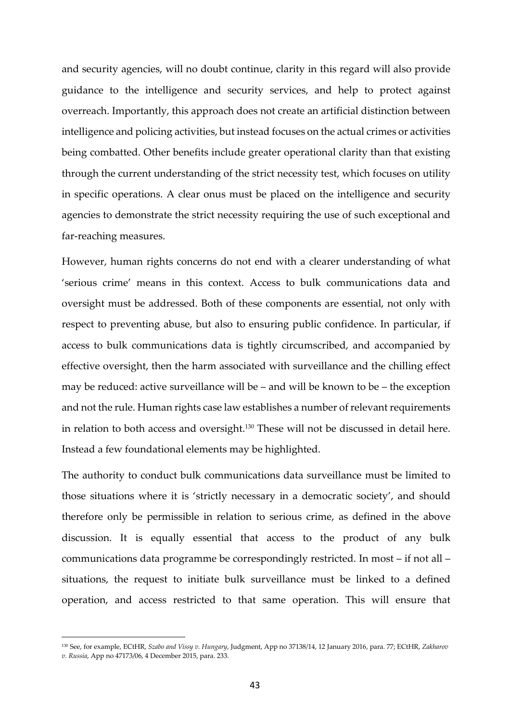and security agencies, will no doubt continue, clarity in this regard will also provide guidance to the intelligence and security services, and help to protect against overreach. Importantly, this approach does not create an artificial distinction between intelligence and policing activities, but instead focuses on the actual crimes or activities being combatted. Other benefits include greater operational clarity than that existing through the current understanding of the strict necessity test, which focuses on utility in specific operations. A clear onus must be placed on the intelligence and security agencies to demonstrate the strict necessity requiring the use of such exceptional and far-reaching measures.

However, human rights concerns do not end with a clearer understanding of what 'serious crime' means in this context. Access to bulk communications data and oversight must be addressed. Both of these components are essential, not only with respect to preventing abuse, but also to ensuring public confidence. In particular, if access to bulk communications data is tightly circumscribed, and accompanied by effective oversight, then the harm associated with surveillance and the chilling effect may be reduced: active surveillance will be – and will be known to be – the exception and not the rule. Human rights case law establishes a number of relevant requirements in relation to both access and oversight.<sup>130</sup> These will not be discussed in detail here. Instead a few foundational elements may be highlighted.

The authority to conduct bulk communications data surveillance must be limited to those situations where it is 'strictly necessary in a democratic society', and should therefore only be permissible in relation to serious crime, as defined in the above discussion. It is equally essential that access to the product of any bulk communications data programme be correspondingly restricted. In most – if not all – situations, the request to initiate bulk surveillance must be linked to a defined operation, and access restricted to that same operation. This will ensure that

<sup>130</sup> See, for example, ECtHR, *Szabo and Vissy v. Hungary*, Judgment, App no 37138/14, 12 January 2016, para. 77; ECtHR, *Zakharov v. Russia*, App no 47173/06, 4 December 2015, para. 233.